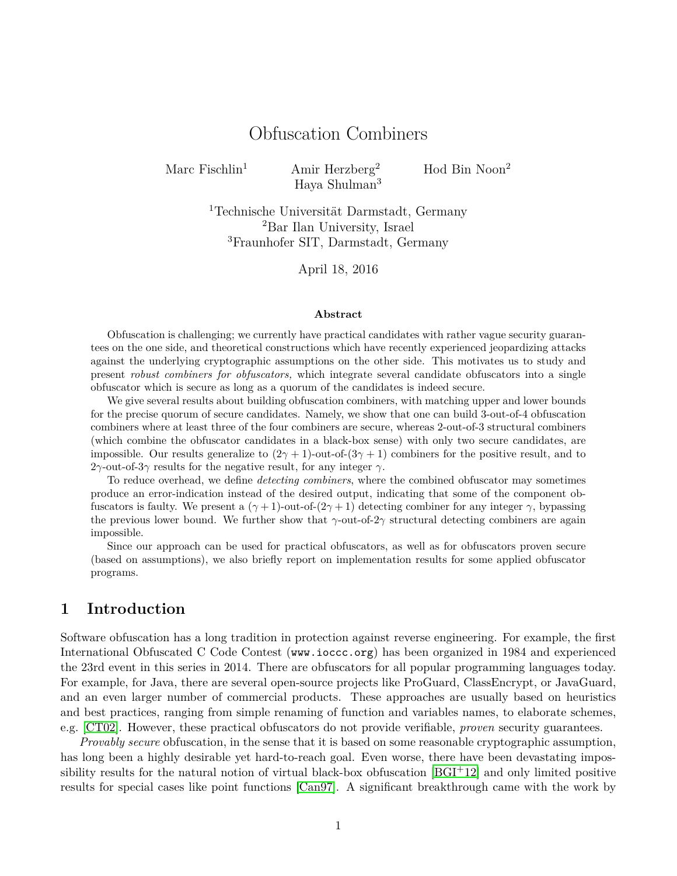# Obfuscation Combiners

<span id="page-0-0"></span>

Haya Shulman<sup>3</sup>

Marc Fischlin<sup>1</sup> Amir Herzberg<sup>2</sup> Hod Bin Noon<sup>2</sup>

<sup>1</sup>Technische Universität Darmstadt, Germany <sup>2</sup>Bar Ilan University, Israel <sup>3</sup>Fraunhofer SIT, Darmstadt, Germany

April 18, 2016

#### **Abstract**

Obfuscation is challenging; we currently have practical candidates with rather vague security guarantees on the one side, and theoretical constructions which have recently experienced jeopardizing attacks against the underlying cryptographic assumptions on the other side. This motivates us to study and present *robust combiners for obfuscators,* which integrate several candidate obfuscators into a single obfuscator which is secure as long as a quorum of the candidates is indeed secure.

We give several results about building obfuscation combiners, with matching upper and lower bounds for the precise quorum of secure candidates. Namely, we show that one can build 3-out-of-4 obfuscation combiners where at least three of the four combiners are secure, whereas 2-out-of-3 structural combiners (which combine the obfuscator candidates in a black-box sense) with only two secure candidates, are impossible. Our results generalize to  $(2\gamma + 1)$ -out-of- $(3\gamma + 1)$  combiners for the positive result, and to 2γ-out-of-3γ results for the negative result, for any integer  $\gamma$ .

To reduce overhead, we define *detecting combiners*, where the combined obfuscator may sometimes produce an error-indication instead of the desired output, indicating that some of the component obfuscators is faulty. We present a  $(\gamma + 1)$ -out-of- $(2\gamma + 1)$  detecting combiner for any integer  $\gamma$ , bypassing the previous lower bound. We further show that *γ*-out-of-2*γ* structural detecting combiners are again impossible.

Since our approach can be used for practical obfuscators, as well as for obfuscators proven secure (based on assumptions), we also briefly report on implementation results for some applied obfuscator programs.

# **1 Introduction**

Software obfuscation has a long tradition in protection against reverse engineering. For example, the first International Obfuscated C Code Contest (www.ioccc.org) has been organized in 1984 and experienced the 23rd event in this series in 2014. There are obfuscators for all popular programming languages today. For example, for Java, there are several open-source projects like ProGuard, ClassEncrypt, or JavaGuard, and an even larger number of commercial products. These approaches are usually based on heuristics and best practices, ranging from simple renaming of function and variables names, to elaborate schemes, e.g. [\[CT02\]](#page-23-0). However, these practical obfuscators do not provide verifiable, *proven* security guarantees.

*Provably secure* obfuscation, in the sense that it is based on some reasonable cryptographic assumption, has long been a highly desirable yet hard-to-reach goal. Even worse, there have been devastating impossibility results for the natural notion of virtual black-box obfuscation [\[BGI](#page-22-0)+12] and only limited positive results for special cases like point functions [\[Can97\]](#page-22-1). A significant breakthrough came with the work by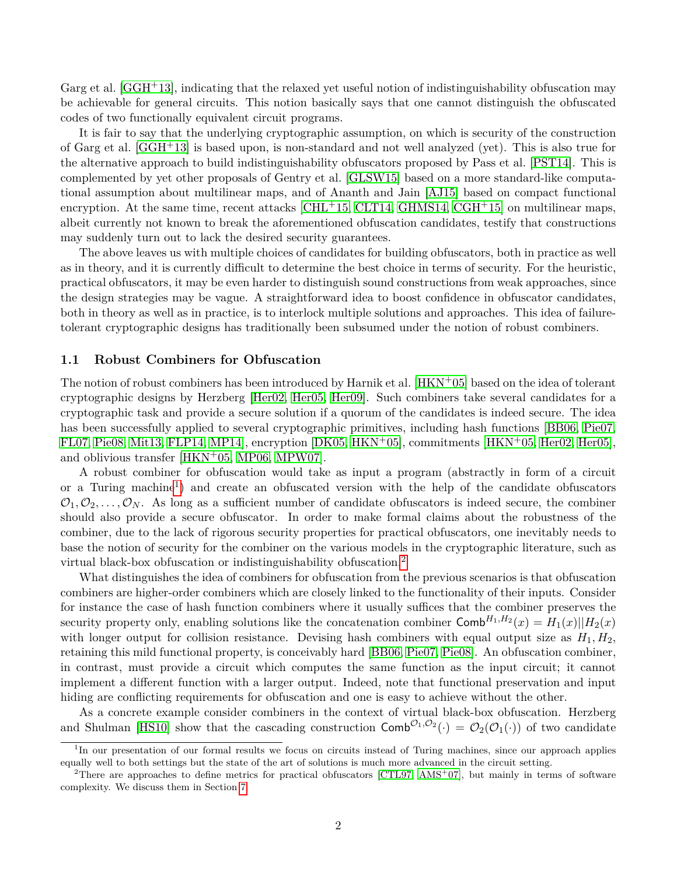<span id="page-1-2"></span>Garg et al. [\[GGH](#page-23-1)+13], indicating that the relaxed yet useful notion of indistinguishability obfuscation may be achievable for general circuits. This notion basically says that one cannot distinguish the obfuscated codes of two functionally equivalent circuit programs.

It is fair to say that the underlying cryptographic assumption, on which is security of the construction of Garg et al. [\[GGH](#page-23-1)+13] is based upon, is non-standard and not well analyzed (yet). This is also true for the alternative approach to build indistinguishability obfuscators proposed by Pass et al. [\[PST14\]](#page-25-0). This is complemented by yet other proposals of Gentry et al. [\[GLSW15\]](#page-24-0) based on a more standard-like computational assumption about multilinear maps, and of Ananth and Jain [\[AJ15\]](#page-21-0) based on compact functional encryption. At the same time, recent attacks  $\lbrack \text{CHL}^+15 \rbrack$ , [CLT14,](#page-23-3) [GHMS14,](#page-23-4) [CGH](#page-22-2)<sup>+</sup>15 on multilinear maps, albeit currently not known to break the aforementioned obfuscation candidates, testify that constructions may suddenly turn out to lack the desired security guarantees.

The above leaves us with multiple choices of candidates for building obfuscators, both in practice as well as in theory, and it is currently difficult to determine the best choice in terms of security. For the heuristic, practical obfuscators, it may be even harder to distinguish sound constructions from weak approaches, since the design strategies may be vague. A straightforward idea to boost confidence in obfuscator candidates, both in theory as well as in practice, is to interlock multiple solutions and approaches. This idea of failuretolerant cryptographic designs has traditionally been subsumed under the notion of robust combiners.

## **1.1 Robust Combiners for Obfuscation**

The notion of robust combiners has been introduced by Harnik et al. [\[HKN](#page-24-1)+05] based on the idea of tolerant cryptographic designs by Herzberg [\[Her02,](#page-24-2) [Her05,](#page-24-3) [Her09\]](#page-24-4). Such combiners take several candidates for a cryptographic task and provide a secure solution if a quorum of the candidates is indeed secure. The idea has been successfully applied to several cryptographic primitives, including hash functions [\[BB06,](#page-22-3) [Pie07,](#page-25-1)  $FL07, Pie08, Mitt13, FLP14, MP14, encryption [DK05, HKN<sup>+</sup>05], commitments [HKN<sup>+</sup>05, Her02, Her05],$  $FL07, Pie08, Mitt13, FLP14, MP14, encryption [DK05, HKN<sup>+</sup>05], commitments [HKN<sup>+</sup>05, Her02, Her05],$  $FL07, Pie08, Mitt13, FLP14, MP14, encryption [DK05, HKN<sup>+</sup>05], commitments [HKN<sup>+</sup>05, Her02, Her05],$  $FL07, Pie08, Mitt13, FLP14, MP14, encryption [DK05, HKN<sup>+</sup>05], commitments [HKN<sup>+</sup>05, Her02, Her05],$  $FL07, Pie08, Mitt13, FLP14, MP14, encryption [DK05, HKN<sup>+</sup>05], commitments [HKN<sup>+</sup>05, Her02, Her05],$  $FL07, Pie08, Mitt13, FLP14, MP14, encryption [DK05, HKN<sup>+</sup>05], commitments [HKN<sup>+</sup>05, Her02, Her05],$  $FL07, Pie08, Mitt13, FLP14, MP14, encryption [DK05, HKN<sup>+</sup>05], commitments [HKN<sup>+</sup>05, Her02, Her05],$  $FL07, Pie08, Mitt13, FLP14, MP14, encryption [DK05, HKN<sup>+</sup>05], commitments [HKN<sup>+</sup>05, Her02, Her05],$  $FL07, Pie08, Mitt13, FLP14, MP14, encryption [DK05, HKN<sup>+</sup>05], commitments [HKN<sup>+</sup>05, Her02, Her05],$  $FL07, Pie08, Mitt13, FLP14, MP14, encryption [DK05, HKN<sup>+</sup>05], commitments [HKN<sup>+</sup>05, Her02, Her05],$  $FL07, Pie08, Mitt13, FLP14, MP14, encryption [DK05, HKN<sup>+</sup>05], commitments [HKN<sup>+</sup>05, Her02, Her05],$  $FL07, Pie08, Mitt13, FLP14, MP14, encryption [DK05, HKN<sup>+</sup>05], commitments [HKN<sup>+</sup>05, Her02, Her05],$  $FL07, Pie08, Mitt13, FLP14, MP14, encryption [DK05, HKN<sup>+</sup>05], commitments [HKN<sup>+</sup>05, Her02, Her05],$ and oblivious transfer  $[HKN<sup>+</sup>05, MP06, MPW07]$  $[HKN<sup>+</sup>05, MP06, MPW07]$  $[HKN<sup>+</sup>05, MP06, MPW07]$  $[HKN<sup>+</sup>05, MP06, MPW07]$ .

A robust combiner for obfuscation would take as input a program (abstractly in form of a circuit or a Turing machine<sup>[1](#page-1-0)</sup>) and create an obfuscated version with the help of the candidate obfuscators  $\mathcal{O}_1, \mathcal{O}_2, \ldots, \mathcal{O}_N$ . As long as a sufficient number of candidate obfuscators is indeed secure, the combiner should also provide a secure obfuscator. In order to make formal claims about the robustness of the combiner, due to the lack of rigorous security properties for practical obfuscators, one inevitably needs to base the notion of security for the combiner on the various models in the cryptographic literature, such as virtual black-box obfuscation or indistinguishability obfuscation.[2](#page-1-1)

What distinguishes the idea of combiners for obfuscation from the previous scenarios is that obfuscation combiners are higher-order combiners which are closely linked to the functionality of their inputs. Consider for instance the case of hash function combiners where it usually suffices that the combiner preserves the security property only, enabling solutions like the concatenation combiner  $\textsf{Comb}^{H_1,H_2}(x) = H_1(x)||H_2(x)$ with longer output for collision resistance. Devising hash combiners with equal output size as  $H_1, H_2$ , retaining this mild functional property, is conceivably hard [\[BB06,](#page-22-3) [Pie07,](#page-25-1) [Pie08\]](#page-25-2). An obfuscation combiner, in contrast, must provide a circuit which computes the same function as the input circuit; it cannot implement a different function with a larger output. Indeed, note that functional preservation and input hiding are conflicting requirements for obfuscation and one is easy to achieve without the other.

As a concrete example consider combiners in the context of virtual black-box obfuscation. Herzberg and Shulman [\[HS10\]](#page-24-7) show that the cascading construction  $\textsf{Comb}^{\mathcal{O}_1,\mathcal{O}_2}(\cdot) = \mathcal{O}_2(\mathcal{O}_1(\cdot))$  of two candidate

<span id="page-1-0"></span><sup>&</sup>lt;sup>1</sup>In our presentation of our formal results we focus on circuits instead of Turing machines, since our approach applies equally well to both settings but the state of the art of solutions is much more advanced in the circuit setting.

<span id="page-1-1"></span><sup>&</sup>lt;sup>2</sup>There are approaches to define metrics for practical obfuscators [\[CTL97,](#page-23-8)  $AMS<sup>+</sup>07$ ], but mainly in terms of software complexity. We discuss them in Section [7.](#page-17-0)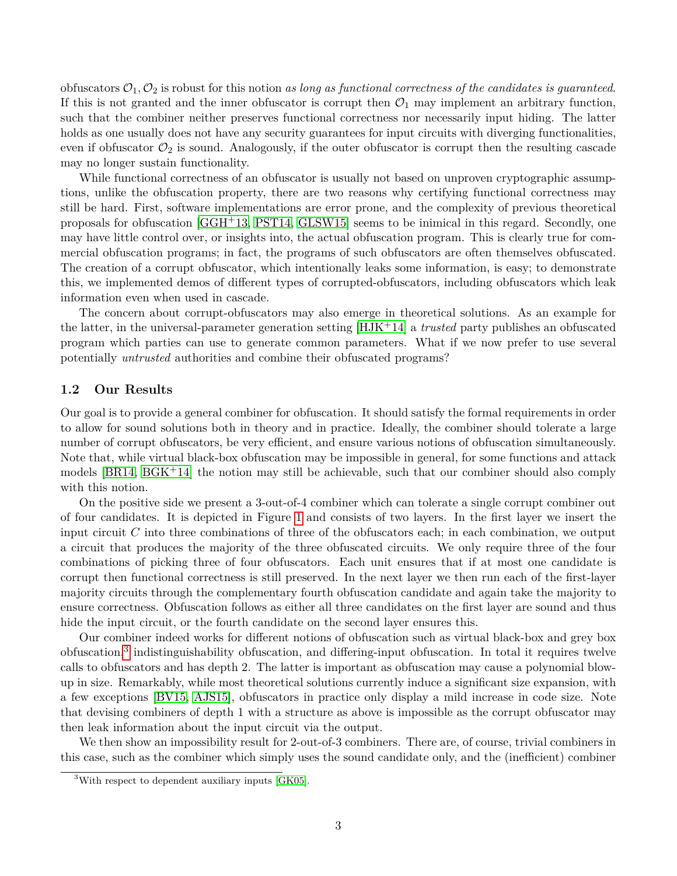<span id="page-2-1"></span>obfuscators  $\mathcal{O}_1, \mathcal{O}_2$  is robust for this notion *as long as functional correctness of the candidates is guaranteed.* If this is not granted and the inner obfuscator is corrupt then  $\mathcal{O}_1$  may implement an arbitrary function, such that the combiner neither preserves functional correctness nor necessarily input hiding. The latter holds as one usually does not have any security guarantees for input circuits with diverging functionalities, even if obfuscator  $\mathcal{O}_2$  is sound. Analogously, if the outer obfuscator is corrupt then the resulting cascade may no longer sustain functionality.

While functional correctness of an obfuscator is usually not based on unproven cryptographic assumptions, unlike the obfuscation property, there are two reasons why certifying functional correctness may still be hard. First, software implementations are error prone, and the complexity of previous theoretical proposals for obfuscation [\[GGH](#page-23-1)+13, [PST14,](#page-25-0) [GLSW15\]](#page-24-0) seems to be inimical in this regard. Secondly, one may have little control over, or insights into, the actual obfuscation program. This is clearly true for commercial obfuscation programs; in fact, the programs of such obfuscators are often themselves obfuscated. The creation of a corrupt obfuscator, which intentionally leaks some information, is easy; to demonstrate this, we implemented demos of different types of corrupted-obfuscators, including obfuscators which leak information even when used in cascade.

The concern about corrupt-obfuscators may also emerge in theoretical solutions. As an example for the latter, in the universal-parameter generation setting [\[HJK](#page-24-8)+14] a *trusted* party publishes an obfuscated program which parties can use to generate common parameters. What if we now prefer to use several potentially *untrusted* authorities and combine their obfuscated programs?

## **1.2 Our Results**

Our goal is to provide a general combiner for obfuscation. It should satisfy the formal requirements in order to allow for sound solutions both in theory and in practice. Ideally, the combiner should tolerate a large number of corrupt obfuscators, be very efficient, and ensure various notions of obfuscation simultaneously. Note that, while virtual black-box obfuscation may be impossible in general, for some functions and attack models  $[BR14, BGK^+14]$  $[BR14, BGK^+14]$  $[BR14, BGK^+14]$  the notion may still be achievable, such that our combiner should also comply with this notion.

On the positive side we present a 3-out-of-4 combiner which can tolerate a single corrupt combiner out of four candidates. It is depicted in Figure [1](#page-3-0) and consists of two layers. In the first layer we insert the input circuit *C* into three combinations of three of the obfuscators each; in each combination, we output a circuit that produces the majority of the three obfuscated circuits. We only require three of the four combinations of picking three of four obfuscators. Each unit ensures that if at most one candidate is corrupt then functional correctness is still preserved. In the next layer we then run each of the first-layer majority circuits through the complementary fourth obfuscation candidate and again take the majority to ensure correctness. Obfuscation follows as either all three candidates on the first layer are sound and thus hide the input circuit, or the fourth candidate on the second layer ensures this.

Our combiner indeed works for different notions of obfuscation such as virtual black-box and grey box obfuscation,<sup>[3](#page-2-0)</sup> indistinguishability obfuscation, and differing-input obfuscation. In total it requires twelve calls to obfuscators and has depth 2. The latter is important as obfuscation may cause a polynomial blowup in size. Remarkably, while most theoretical solutions currently induce a significant size expansion, with a few exceptions [\[BV15,](#page-22-6) [AJS15\]](#page-21-2), obfuscators in practice only display a mild increase in code size. Note that devising combiners of depth 1 with a structure as above is impossible as the corrupt obfuscator may then leak information about the input circuit via the output.

We then show an impossibility result for 2-out-of-3 combiners. There are, of course, trivial combiners in this case, such as the combiner which simply uses the sound candidate only, and the (inefficient) combiner

<span id="page-2-0"></span><sup>3</sup>With respect to dependent auxiliary inputs [\[GK05\]](#page-24-9).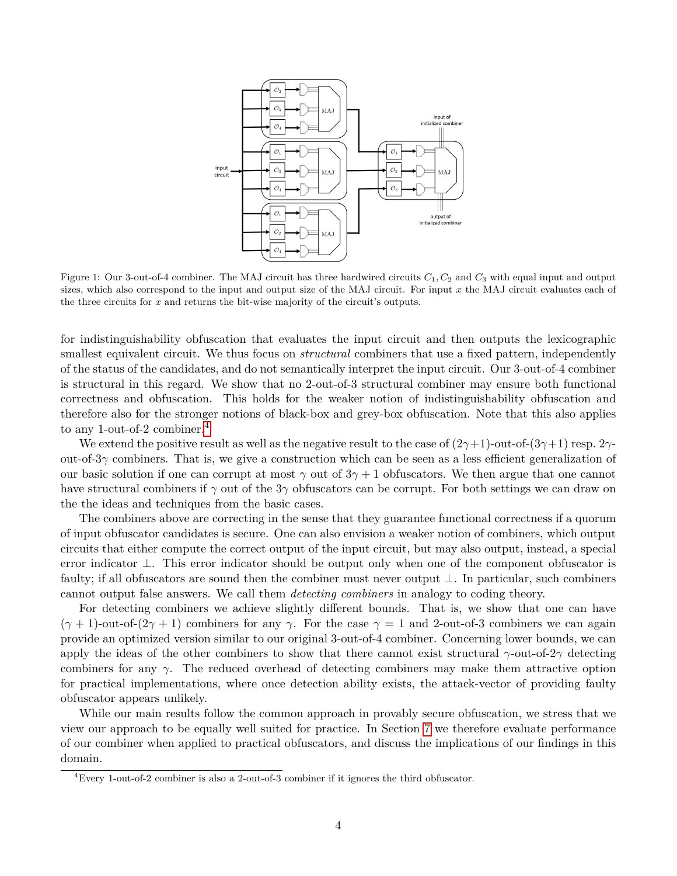<span id="page-3-0"></span>

Figure 1: Our 3-out-of-4 combiner. The MAJ circuit has three hardwired circuits  $C_1$ ,  $C_2$  and  $C_3$  with equal input and output sizes, which also correspond to the input and output size of the MAJ circuit. For input *x* the MAJ circuit evaluates each of the three circuits for *x* and returns the bit-wise majority of the circuit's outputs.

for indistinguishability obfuscation that evaluates the input circuit and then outputs the lexicographic smallest equivalent circuit. We thus focus on *structural* combiners that use a fixed pattern, independently of the status of the candidates, and do not semantically interpret the input circuit. Our 3-out-of-4 combiner is structural in this regard. We show that no 2-out-of-3 structural combiner may ensure both functional correctness and obfuscation. This holds for the weaker notion of indistinguishability obfuscation and therefore also for the stronger notions of black-box and grey-box obfuscation. Note that this also applies to any 1-out-of-2 combiner.<sup>[4](#page-3-1)</sup>

We extend the positive result as well as the negative result to the case of  $(2\gamma+1)$ -out-of- $(3\gamma+1)$  resp.  $2\gamma$ out-of-3*γ* combiners. That is, we give a construction which can be seen as a less efficient generalization of our basic solution if one can corrupt at most  $\gamma$  out of  $3\gamma + 1$  obfuscators. We then argue that one cannot have structural combiners if *γ* out of the 3*γ* obfuscators can be corrupt. For both settings we can draw on the the ideas and techniques from the basic cases.

The combiners above are correcting in the sense that they guarantee functional correctness if a quorum of input obfuscator candidates is secure. One can also envision a weaker notion of combiners, which output circuits that either compute the correct output of the input circuit, but may also output, instead, a special error indicator ⊥. This error indicator should be output only when one of the component obfuscator is faulty; if all obfuscators are sound then the combiner must never output ⊥. In particular, such combiners cannot output false answers. We call them *detecting combiners* in analogy to coding theory.

For detecting combiners we achieve slightly different bounds. That is, we show that one can have  $(\gamma + 1)$ -out-of- $(2\gamma + 1)$  combiners for any  $\gamma$ . For the case  $\gamma = 1$  and 2-out-of-3 combiners we can again provide an optimized version similar to our original 3-out-of-4 combiner. Concerning lower bounds, we can apply the ideas of the other combiners to show that there cannot exist structural  $\gamma$ -out-of-2 $\gamma$  detecting combiners for any  $\gamma$ . The reduced overhead of detecting combiners may make them attractive option for practical implementations, where once detection ability exists, the attack-vector of providing faulty obfuscator appears unlikely.

While our main results follow the common approach in provably secure obfuscation, we stress that we view our approach to be equally well suited for practice. In Section [7](#page-17-0) we therefore evaluate performance of our combiner when applied to practical obfuscators, and discuss the implications of our findings in this domain.

<span id="page-3-1"></span><sup>4</sup>Every 1-out-of-2 combiner is also a 2-out-of-3 combiner if it ignores the third obfuscator.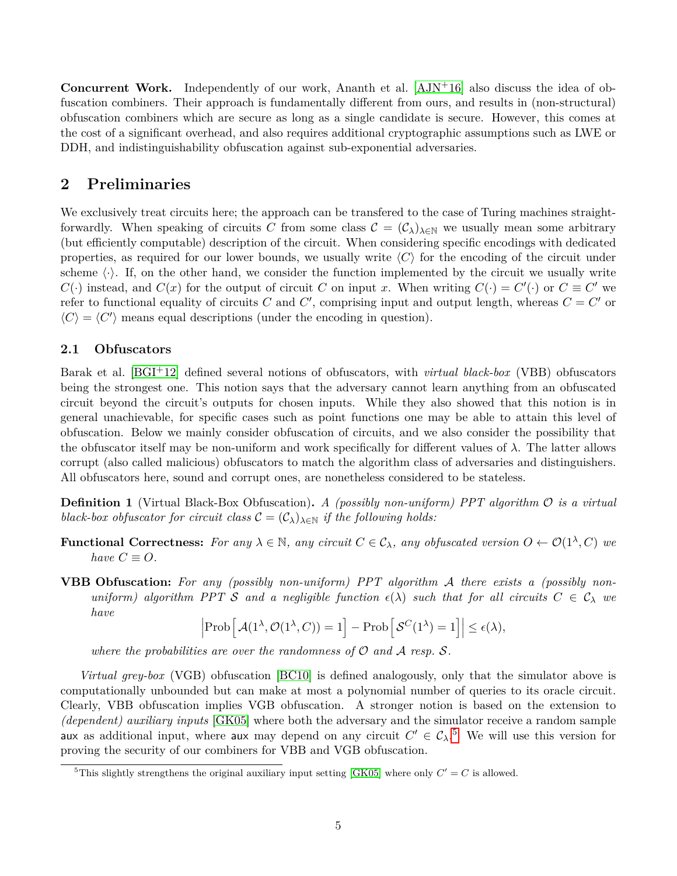<span id="page-4-2"></span>**Concurrent Work.** Independently of our work, Ananth et al. [\[AJN](#page-21-3)+16] also discuss the idea of obfuscation combiners. Their approach is fundamentally different from ours, and results in (non-structural) obfuscation combiners which are secure as long as a single candidate is secure. However, this comes at the cost of a significant overhead, and also requires additional cryptographic assumptions such as LWE or DDH, and indistinguishability obfuscation against sub-exponential adversaries.

# <span id="page-4-1"></span>**2 Preliminaries**

We exclusively treat circuits here; the approach can be transfered to the case of Turing machines straightforwardly. When speaking of circuits C from some class  $\mathcal{C} = (\mathcal{C}_{\lambda})_{\lambda \in \mathbb{N}}$  we usually mean some arbitrary (but efficiently computable) description of the circuit. When considering specific encodings with dedicated properties, as required for our lower bounds, we usually write  $\langle C \rangle$  for the encoding of the circuit under scheme  $\langle \cdot \rangle$ . If, on the other hand, we consider the function implemented by the circuit we usually write *C*(·) instead, and *C*(*x*) for the output of circuit *C* on input *x*. When writing  $C(\cdot) = C'(\cdot)$  or  $C \equiv C'$  we refer to functional equality of circuits *C* and *C*<sup>'</sup>, comprising input and output length, whereas  $C = C'$  or  $\langle C \rangle = \langle C' \rangle$  means equal descriptions (under the encoding in question).

## **2.1 Obfuscators**

Barak et al. [\[BGI](#page-22-0)+12] defined several notions of obfuscators, with *virtual black-box* (VBB) obfuscators being the strongest one. This notion says that the adversary cannot learn anything from an obfuscated circuit beyond the circuit's outputs for chosen inputs. While they also showed that this notion is in general unachievable, for specific cases such as point functions one may be able to attain this level of obfuscation. Below we mainly consider obfuscation of circuits, and we also consider the possibility that the obfuscator itself may be non-uniform and work specifically for different values of  $\lambda$ . The latter allows corrupt (also called malicious) obfuscators to match the algorithm class of adversaries and distinguishers. All obfuscators here, sound and corrupt ones, are nonetheless considered to be stateless.

**Definition 1** (Virtual Black-Box Obfuscation)**.** *A (possibly non-uniform) PPT algorithm* O *is a virtual black-box obfuscator for circuit class*  $\mathcal{C} = (\mathcal{C}_{\lambda})_{\lambda \in \mathbb{N}}$  *if the following holds:* 

- **Functional Correctness:** For any  $\lambda \in \mathbb{N}$ , any circuit  $C \in \mathcal{C}_{\lambda}$ , any obfuscated version  $O \leftarrow \mathcal{O}(1^{\lambda}, C)$  we *have*  $C \equiv O$ *.*
- **VBB Obfuscation:** *For any (possibly non-uniform) PPT algorithm* A *there exists a (possibly nonuniform)* algorithm PPT S and a negligible function  $\epsilon(\lambda)$  such that for all circuits  $C \in \mathcal{C}_{\lambda}$  we *have*

$$
\left|\mathrm{Prob}\left[\mathcal{A}(1^{\lambda}, \mathcal{O}(1^{\lambda}, C)) = 1\right] - \mathrm{Prob}\left[\mathcal{S}^{C}(1^{\lambda}) = 1\right]\right| \le \epsilon(\lambda),
$$

*where the probabilities are over the randomness of*  $O$  *and*  $A$  *resp.*  $S$ *.* 

*Virtual grey-box* (VGB) obfuscation [\[BC10\]](#page-22-7) is defined analogously, only that the simulator above is computationally unbounded but can make at most a polynomial number of queries to its oracle circuit. Clearly, VBB obfuscation implies VGB obfuscation. A stronger notion is based on the extension to *(dependent) auxiliary inputs* [\[GK05\]](#page-24-9) where both the adversary and the simulator receive a random sample aux as additional input, where aux may depend on any circuit  $C' \in C_{\lambda}$ <sup>[5](#page-4-0)</sup>. We will use this version for proving the security of our combiners for VBB and VGB obfuscation.

<span id="page-4-0"></span><sup>&</sup>lt;sup>5</sup>This slightly strengthens the original auxiliary input setting [\[GK05\]](#page-24-9) where only  $C' = C$  is allowed.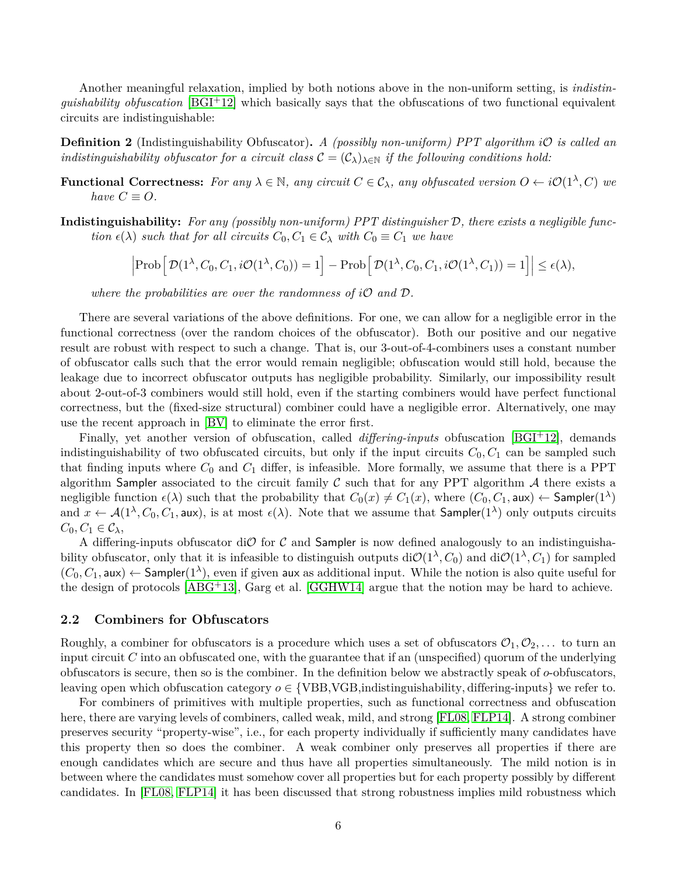<span id="page-5-0"></span>Another meaningful relaxation, implied by both notions above in the non-uniform setting, is *indistinguishability obfuscation* [\[BGI](#page-22-0)+12] which basically says that the obfuscations of two functional equivalent circuits are indistinguishable:

**Definition 2** (Indistinguishability Obfuscator)**.** *A (possibly non-uniform) PPT algorithm i*O *is called an indistinguishability obfuscator for a circuit class*  $\mathcal{C} = (\mathcal{C}_{\lambda})_{\lambda \in \mathbb{N}}$  *if the following conditions hold:* 

- **Functional Correctness:** For any  $\lambda \in \mathbb{N}$ , any circuit  $C \in \mathcal{C}_{\lambda}$ , any obfuscated version  $O \leftarrow i\mathcal{O}(1^{\lambda}, C)$  we *have*  $C \equiv O$ *.*
- **Indistinguishability:** *For any (possibly non-uniform) PPT distinguisher* D*, there exists a negligible function*  $\epsilon(\lambda)$  *such that for all circuits*  $C_0, C_1 \in C_\lambda$  *with*  $C_0 \equiv C_1$  *we have*

$$
\left|\mathrm{Prob}\left[\mathcal{D}(1^{\lambda}, C_0, C_1, i\mathcal{O}(1^{\lambda}, C_0)) = 1\right] - \mathrm{Prob}\left[\mathcal{D}(1^{\lambda}, C_0, C_1, i\mathcal{O}(1^{\lambda}, C_1)) = 1\right]\right| \le \epsilon(\lambda),
$$

*where the probabilities are over the randomness of*  $i\mathcal{O}$  *and*  $\mathcal{D}$ *.* 

There are several variations of the above definitions. For one, we can allow for a negligible error in the functional correctness (over the random choices of the obfuscator). Both our positive and our negative result are robust with respect to such a change. That is, our 3-out-of-4-combiners uses a constant number of obfuscator calls such that the error would remain negligible; obfuscation would still hold, because the leakage due to incorrect obfuscator outputs has negligible probability. Similarly, our impossibility result about 2-out-of-3 combiners would still hold, even if the starting combiners would have perfect functional correctness, but the (fixed-size structural) combiner could have a negligible error. Alternatively, one may use the recent approach in [\[BV\]](#page-22-8) to eliminate the error first.

Finally, yet another version of obfuscation, called *differing-inputs* obfuscation [\[BGI](#page-22-0)+12], demands indistinguishability of two obfuscated circuits, but only if the input circuits  $C_0$ ,  $C_1$  can be sampled such that finding inputs where  $C_0$  and  $C_1$  differ, is infeasible. More formally, we assume that there is a PPT algorithm Sampler associated to the circuit family C such that for any PPT algorithm  $\mathcal A$  there exists a negligible function  $\epsilon(\lambda)$  such that the probability that  $C_0(x) \neq C_1(x)$ , where  $(C_0, C_1, \text{aux}) \leftarrow \text{Sampler}(1^{\lambda})$ and  $x \leftarrow A(1^{\lambda}, C_0, C_1, \text{aux})$ , is at most  $\epsilon(\lambda)$ . Note that we assume that Sampler(1<sup> $\lambda$ </sup>) only outputs circuits  $C_0, C_1 \in \mathcal{C}_\lambda$ ,

A differing-inputs obfuscator di $\mathcal O$  for C and Sampler is now defined analogously to an indistinguishability obfuscator, only that it is infeasible to distinguish outputs  $di\mathcal{O}(1^{\lambda}, C_0)$  and  $di\mathcal{O}(1^{\lambda}, C_1)$  for sampled  $(C_0, C_1, \textsf{aux}) \leftarrow \textsf{Sampler}(1^{\lambda})$ , even if given aux as additional input. While the notion is also quite useful for the design of protocols  $[ABG^+13]$  $[ABG^+13]$ , Garg et al.  $[GHHW14]$  argue that the notion may be hard to achieve.

## **2.2 Combiners for Obfuscators**

Roughly, a combiner for obfuscators is a procedure which uses a set of obfuscators  $\mathcal{O}_1, \mathcal{O}_2, \ldots$  to turn an input circuit  $C$  into an obfuscated one, with the guarantee that if an (unspecified) quorum of the underlying obfuscators is secure, then so is the combiner. In the definition below we abstractly speak of *o*-obfuscators, leaving open which obfuscation category *o* ∈ {VBB,VGB,indistinguishability*,* differing-inputs} we refer to.

For combiners of primitives with multiple properties, such as functional correctness and obfuscation here, there are varying levels of combiners, called weak, mild, and strong [\[FL08,](#page-23-10) [FLP14\]](#page-23-6). A strong combiner preserves security "property-wise", i.e., for each property individually if sufficiently many candidates have this property then so does the combiner. A weak combiner only preserves all properties if there are enough candidates which are secure and thus have all properties simultaneously. The mild notion is in between where the candidates must somehow cover all properties but for each property possibly by different candidates. In [\[FL08,](#page-23-10) [FLP14\]](#page-23-6) it has been discussed that strong robustness implies mild robustness which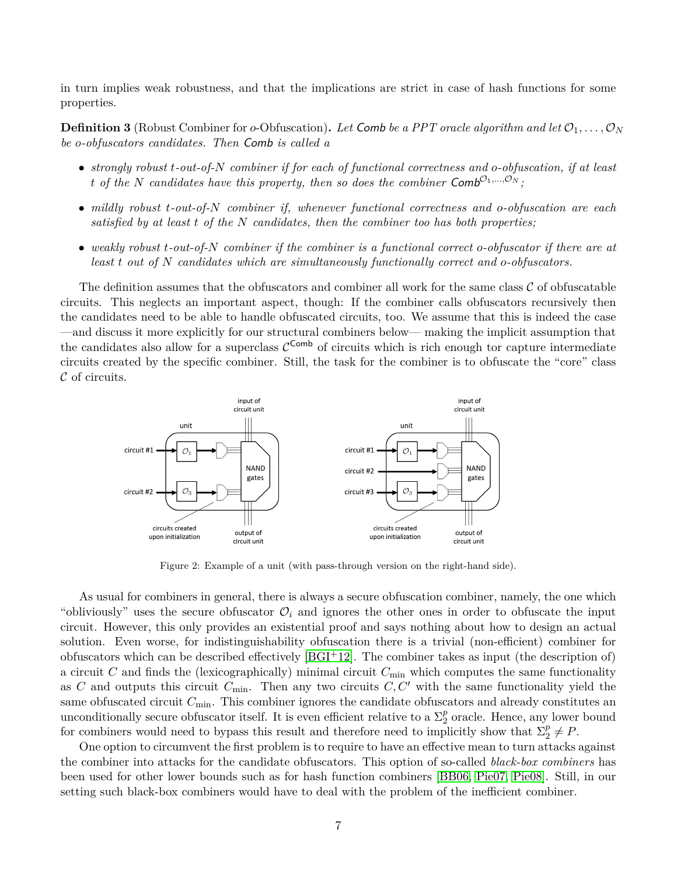<span id="page-6-1"></span>in turn implies weak robustness, and that the implications are strict in case of hash functions for some properties.

**Definition 3** (Robust Combiner for *o*-Obfuscation). Let Comb be a PPT oracle algorithm and let  $\mathcal{O}_1, \ldots, \mathcal{O}_N$ *be o-obfuscators candidates. Then* Comb *is called a*

- *strongly robust t-out-of-N combiner if for each of functional correctness and o-obfuscation, if at least t* of the N candidates have this property, then so does the combiner  $Comb^{O_1,...,O_N}$ ;
- *mildly robust t-out-of-N combiner if, whenever functional correctness and o-obfuscation are each satisfied by at least t of the N candidates, then the combiner too has both properties;*
- *weakly robust t-out-of-N combiner if the combiner is a functional correct o-obfuscator if there are at least t out of N candidates which are simultaneously functionally correct and o-obfuscators.*

The definition assumes that the obfuscators and combiner all work for the same class  $\mathcal C$  of obfuscatable circuits. This neglects an important aspect, though: If the combiner calls obfuscators recursively then the candidates need to be able to handle obfuscated circuits, too. We assume that this is indeed the case —and discuss it more explicitly for our structural combiners below— making the implicit assumption that the candidates also allow for a superclass  $\mathcal{C}^{\mathsf{Comb}}$  of circuits which is rich enough tor capture intermediate circuits created by the specific combiner. Still, the task for the combiner is to obfuscate the "core" class  $\mathcal C$  of circuits.

<span id="page-6-0"></span>

Figure 2: Example of a unit (with pass-through version on the right-hand side).

As usual for combiners in general, there is always a secure obfuscation combiner, namely, the one which "obliviously" uses the secure obfuscator  $\mathcal{O}_i$  and ignores the other ones in order to obfuscate the input circuit. However, this only provides an existential proof and says nothing about how to design an actual solution. Even worse, for indistinguishability obfuscation there is a trivial (non-efficient) combiner for obfuscators which can be described effectively  $[**BGI** + 12]$ . The combiner takes as input (the description of)a circuit *C* and finds the (lexicographically) minimal circuit  $C_{\text{min}}$  which computes the same functionality as *C* and outputs this circuit  $C_{\text{min}}$ . Then any two circuits  $C, C'$  with the same functionality yield the same obfuscated circuit *C*min. This combiner ignores the candidate obfuscators and already constitutes an unconditionally secure obfuscator itself. It is even efficient relative to a  $\Sigma_2^p$  $_2^p$  oracle. Hence, any lower bound for combiners would need to bypass this result and therefore need to implicitly show that  $\Sigma_2^p$  $_{2}^{p}\neq P.$ 

One option to circumvent the first problem is to require to have an effective mean to turn attacks against the combiner into attacks for the candidate obfuscators. This option of so-called *black-box combiners* has been used for other lower bounds such as for hash function combiners [\[BB06,](#page-22-3) [Pie07,](#page-25-1) [Pie08\]](#page-25-2). Still, in our setting such black-box combiners would have to deal with the problem of the inefficient combiner.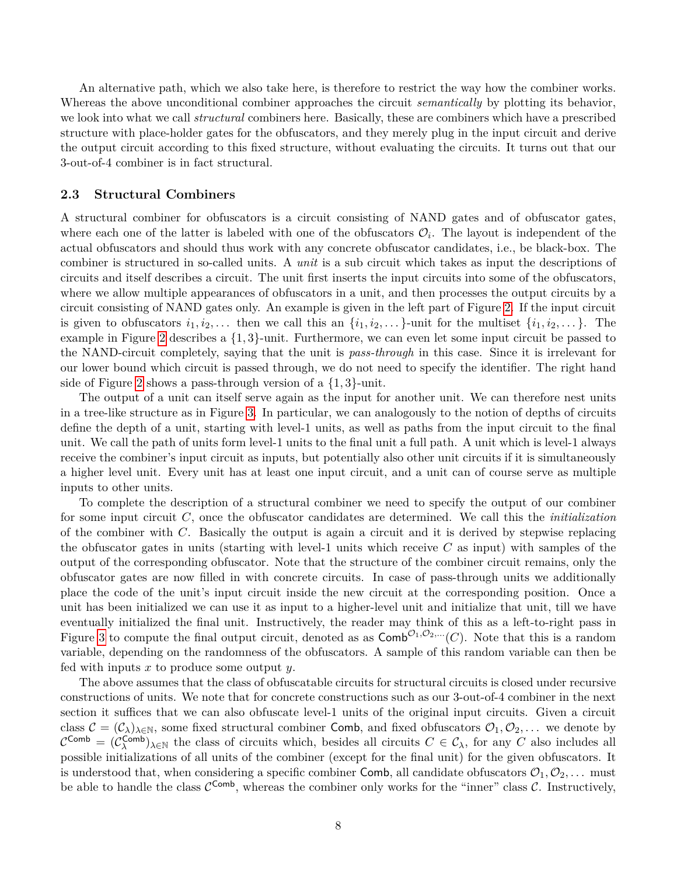An alternative path, which we also take here, is therefore to restrict the way how the combiner works. Whereas the above unconditional combiner approaches the circuit *semantically* by plotting its behavior, we look into what we call *structural* combiners here. Basically, these are combiners which have a prescribed structure with place-holder gates for the obfuscators, and they merely plug in the input circuit and derive the output circuit according to this fixed structure, without evaluating the circuits. It turns out that our 3-out-of-4 combiner is in fact structural.

### **2.3 Structural Combiners**

A structural combiner for obfuscators is a circuit consisting of NAND gates and of obfuscator gates, where each one of the latter is labeled with one of the obfuscators  $\mathcal{O}_i$ . The layout is independent of the actual obfuscators and should thus work with any concrete obfuscator candidates, i.e., be black-box. The combiner is structured in so-called units. A *unit* is a sub circuit which takes as input the descriptions of circuits and itself describes a circuit. The unit first inserts the input circuits into some of the obfuscators, where we allow multiple appearances of obfuscators in a unit, and then processes the output circuits by a circuit consisting of NAND gates only. An example is given in the left part of Figure [2.](#page-6-0) If the input circuit is given to obfuscators  $i_1, i_2, \ldots$  then we call this an  $\{i_1, i_2, \ldots\}$ -unit for the multiset  $\{i_1, i_2, \ldots\}$ . The example in Figure [2](#page-6-0) describes a {1*,* 3}-unit. Furthermore, we can even let some input circuit be passed to the NAND-circuit completely, saying that the unit is *pass-through* in this case. Since it is irrelevant for our lower bound which circuit is passed through, we do not need to specify the identifier. The right hand side of Figure [2](#page-6-0) shows a pass-through version of a {1*,* 3}-unit.

The output of a unit can itself serve again as the input for another unit. We can therefore nest units in a tree-like structure as in Figure [3.](#page-8-0) In particular, we can analogously to the notion of depths of circuits define the depth of a unit, starting with level-1 units, as well as paths from the input circuit to the final unit. We call the path of units form level-1 units to the final unit a full path. A unit which is level-1 always receive the combiner's input circuit as inputs, but potentially also other unit circuits if it is simultaneously a higher level unit. Every unit has at least one input circuit, and a unit can of course serve as multiple inputs to other units.

To complete the description of a structural combiner we need to specify the output of our combiner for some input circuit *C*, once the obfuscator candidates are determined. We call this the *initialization* of the combiner with *C*. Basically the output is again a circuit and it is derived by stepwise replacing the obfuscator gates in units (starting with level-1 units which receive *C* as input) with samples of the output of the corresponding obfuscator. Note that the structure of the combiner circuit remains, only the obfuscator gates are now filled in with concrete circuits. In case of pass-through units we additionally place the code of the unit's input circuit inside the new circuit at the corresponding position. Once a unit has been initialized we can use it as input to a higher-level unit and initialize that unit, till we have eventually initialized the final unit. Instructively, the reader may think of this as a left-to-right pass in Figure [3](#page-8-0) to compute the final output circuit, denoted as as  $\mathsf{Comb}^{O_1,O_2,\ldots}(C)$ . Note that this is a random variable, depending on the randomness of the obfuscators. A sample of this random variable can then be fed with inputs *x* to produce some output *y*.

The above assumes that the class of obfuscatable circuits for structural circuits is closed under recursive constructions of units. We note that for concrete constructions such as our 3-out-of-4 combiner in the next section it suffices that we can also obfuscate level-1 units of the original input circuits. Given a circuit class  $\mathcal{C} = (\mathcal{C}_{\lambda})_{\lambda \in \mathbb{N}}$ , some fixed structural combiner Comb, and fixed obfuscators  $\mathcal{O}_1, \mathcal{O}_2, \ldots$  we denote by  $\mathcal{C}^{\text{Comb}} = (\mathcal{C}_{\lambda}^{\text{Comb}})_{\lambda \in \mathbb{N}}$  the class of circuits which, besides all circuits  $C \in \mathcal{C}_{\lambda}$ , for any *C* also includes all possible initializations of all units of the combiner (except for the final unit) for the given obfuscators. It is understood that, when considering a specific combiner Comb, all candidate obfuscators  $\mathcal{O}_1, \mathcal{O}_2, \ldots$  must be able to handle the class  $\mathcal{C}^{Comb}$ , whereas the combiner only works for the "inner" class  $\mathcal{C}$ . Instructively,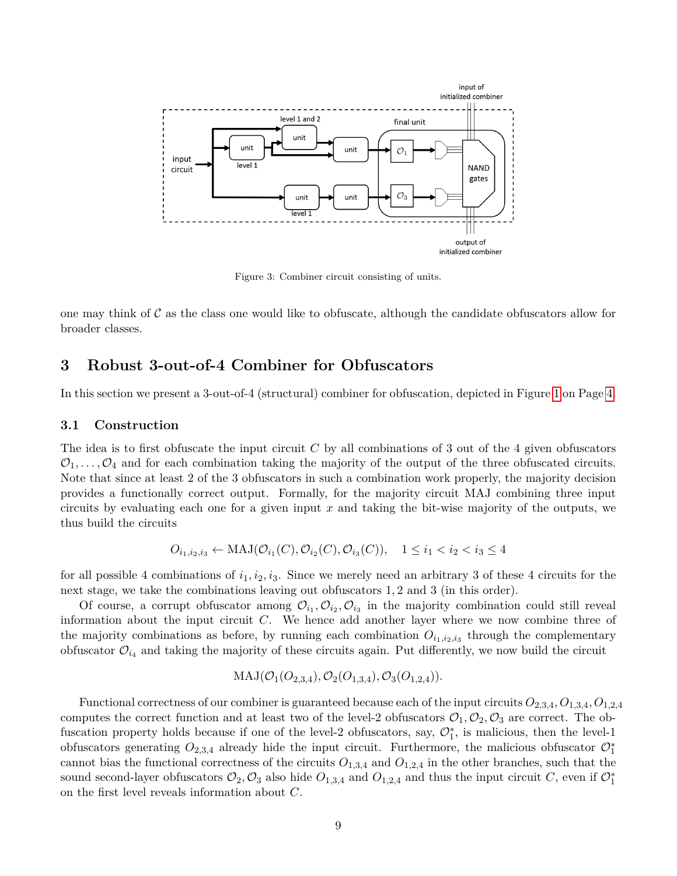<span id="page-8-0"></span>

Figure 3: Combiner circuit consisting of units.

one may think of  $\mathcal C$  as the class one would like to obfuscate, although the candidate obfuscators allow for broader classes.

# <span id="page-8-1"></span>**3 Robust 3-out-of-4 Combiner for Obfuscators**

In this section we present a 3-out-of-4 (structural) combiner for obfuscation, depicted in Figure [1](#page-3-0) on Page [4.](#page-3-0)

## **3.1 Construction**

The idea is to first obfuscate the input circuit *C* by all combinations of 3 out of the 4 given obfuscators  $\mathcal{O}_1,\ldots,\mathcal{O}_4$  and for each combination taking the majority of the output of the three obfuscated circuits. Note that since at least 2 of the 3 obfuscators in such a combination work properly, the majority decision provides a functionally correct output. Formally, for the majority circuit MAJ combining three input circuits by evaluating each one for a given input *x* and taking the bit-wise majority of the outputs, we thus build the circuits

$$
O_{i_1,i_2,i_3} \leftarrow \text{MAJ}(\mathcal{O}_{i_1}(C), \mathcal{O}_{i_2}(C), \mathcal{O}_{i_3}(C)), \quad 1 \leq i_1 < i_2 < i_3 \leq 4
$$

for all possible 4 combinations of  $i_1, i_2, i_3$ . Since we merely need an arbitrary 3 of these 4 circuits for the next stage, we take the combinations leaving out obfuscators 1*,* 2 and 3 (in this order).

Of course, a corrupt obfuscator among  $\mathcal{O}_{i_1}, \mathcal{O}_{i_2}, \mathcal{O}_{i_3}$  in the majority combination could still reveal information about the input circuit *C*. We hence add another layer where we now combine three of the majority combinations as before, by running each combination  $O_{i_1,i_2,i_3}$  through the complementary obfuscator  $\mathcal{O}_{i_4}$  and taking the majority of these circuits again. Put differently, we now build the circuit

$$
\text{MAJ}(\mathcal{O}_1(O_{2,3,4}), \mathcal{O}_2(O_{1,3,4}), \mathcal{O}_3(O_{1,2,4})).
$$

Functional correctness of our combiner is guaranteed because each of the input circuits *O*2*,*3*,*4*, O*1*,*3*,*4*, O*1*,*2*,*<sup>4</sup> computes the correct function and at least two of the level-2 obfuscators  $\mathcal{O}_1, \mathcal{O}_2, \mathcal{O}_3$  are correct. The obfuscation property holds because if one of the level-2 obfuscators, say,  $\mathcal{O}_1^*$ , is malicious, then the level-1 obfuscators generating  $O_{2,3,4}$  already hide the input circuit. Furthermore, the malicious obfuscator  $O_1^*$ cannot bias the functional correctness of the circuits  $O_{1,3,4}$  and  $O_{1,2,4}$  in the other branches, such that the sound second-layer obfuscators  $\mathcal{O}_2$ ,  $\mathcal{O}_3$  also hide  $O_{1,3,4}$  and  $O_{1,2,4}$  and thus the input circuit *C*, even if  $\mathcal{O}_1^*$ on the first level reveals information about *C*.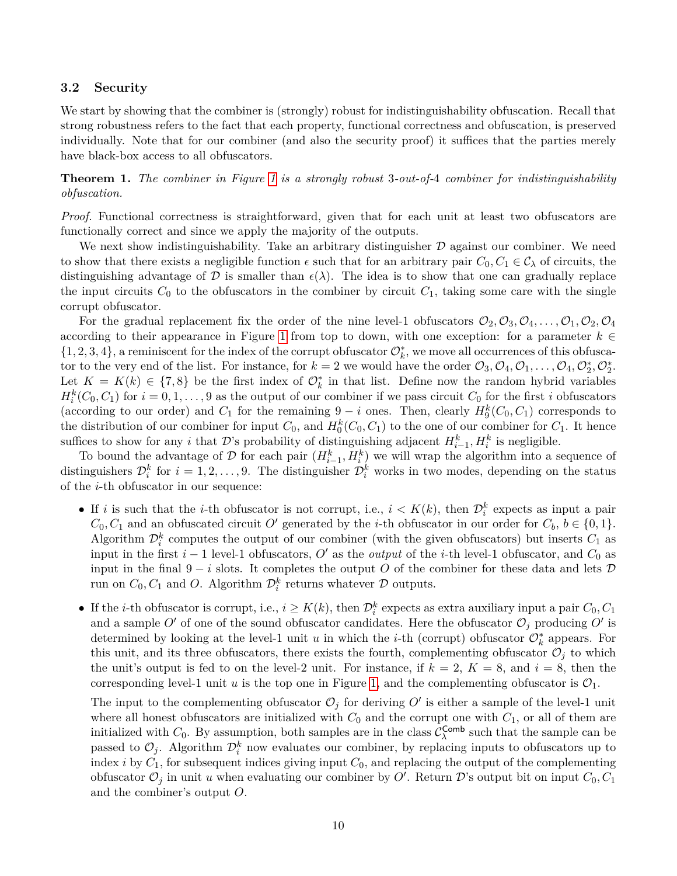## **3.2 Security**

We start by showing that the combiner is (strongly) robust for indistinguishability obfuscation. Recall that strong robustness refers to the fact that each property, functional correctness and obfuscation, is preserved individually. Note that for our combiner (and also the security proof) it suffices that the parties merely have black-box access to all obfuscators.

**Theorem 1.** *The combiner in Figure [1](#page-3-0) is a strongly robust* 3*-out-of-*4 *combiner for indistinguishability obfuscation.*

*Proof.* Functional correctness is straightforward, given that for each unit at least two obfuscators are functionally correct and since we apply the majority of the outputs.

We next show indistinguishability. Take an arbitrary distinguisher  $D$  against our combiner. We need to show that there exists a negligible function  $\epsilon$  such that for an arbitrary pair  $C_0, C_1 \in C_\lambda$  of circuits, the distinguishing advantage of D is smaller than  $\epsilon(\lambda)$ . The idea is to show that one can gradually replace the input circuits  $C_0$  to the obfuscators in the combiner by circuit  $C_1$ , taking some care with the single corrupt obfuscator.

For the gradual replacement fix the order of the nine level-1 obfuscators  $\mathcal{O}_2, \mathcal{O}_3, \mathcal{O}_4, \ldots, \mathcal{O}_1, \mathcal{O}_2, \mathcal{O}_4$ according to their appearance in Figure [1](#page-3-0) from top to down, with one exception: for a parameter  $k \in$  $\{1, 2, 3, 4\}$ , a reminiscent for the index of the corrupt obfuscator  $\mathcal{O}_k^*$ , we move all occurrences of this obfuscator to the very end of the list. For instance, for  $k = 2$  we would have the order  $\mathcal{O}_3, \mathcal{O}_4, \mathcal{O}_1, \ldots, \mathcal{O}_4, \mathcal{O}_2^*, \mathcal{O}_2^*$ . Let  $K = K(k) \in \{7, 8\}$  be the first index of  $\mathcal{O}_k^*$  in that list. Define now the random hybrid variables  $H_i^k(C_0, C_1)$  for  $i = 0, 1, \ldots, 9$  as the output of our combiner if we pass circuit  $C_0$  for the first *i* obfuscators (according to our order) and  $C_1$  for the remaining  $9-i$  ones. Then, clearly  $H_9^k(C_0, C_1)$  corresponds to the distribution of our combiner for input  $C_0$ , and  $H_0^k(C_0, C_1)$  to the one of our combiner for  $C_1$ . It hence suffices to show for any *i* that D's probability of distinguishing adjacent  $H_{i-1}^k, H_i^k$  is negligible.

To bound the advantage of  $D$  for each pair  $(H_{i-1}^k, H_i^k)$  we will wrap the algorithm into a sequence of distinguishers  $\mathcal{D}_i^k$  for  $i = 1, 2, \ldots, 9$ . The distinguisher  $\mathcal{D}_i^k$  works in two modes, depending on the status of the *i*-th obfuscator in our sequence:

- If *i* is such that the *i*-th obfuscator is not corrupt, i.e.,  $i < K(k)$ , then  $\mathcal{D}_i^k$  expects as input a pair  $C_0, C_1$  and an obfuscated circuit *O*<sup> $\prime$ </sup> generated by the *i*-th obfuscator in our order for  $C_b, b \in \{0, 1\}.$ Algorithm  $\mathcal{D}_i^k$  computes the output of our combiner (with the given obfuscators) but inserts  $C_1$  as input in the first  $i - 1$  level-1 obfuscators,  $O'$  as the *output* of the *i*-th level-1 obfuscator, and  $C_0$  as input in the final  $9 - i$  slots. It completes the output *O* of the combiner for these data and lets  $D$ run on  $C_0$ ,  $C_1$  and  $O$ . Algorithm  $\mathcal{D}_i^k$  returns whatever  $\mathcal D$  outputs.
- If the *i*-th obfuscator is corrupt, i.e.,  $i \geq K(k)$ , then  $\mathcal{D}_i^k$  expects as extra auxiliary input a pair  $C_0, C_1$ and a sample  $O'$  of one of the sound obfuscator candidates. Here the obfuscator  $\mathcal{O}_j$  producing  $O'$  is determined by looking at the level-1 unit *u* in which the *i*-th (corrupt) obfuscator  $\mathcal{O}_k^*$  appears. For this unit, and its three obfuscators, there exists the fourth, complementing obfuscator  $\mathcal{O}_j$  to which the unit's output is fed to on the level-2 unit. For instance, if  $k = 2$ ,  $K = 8$ , and  $i = 8$ , then the corresponding level-1 unit *u* is the top one in Figure [1,](#page-3-0) and the complementing obfuscator is  $\mathcal{O}_1$ .

The input to the complementing obfuscator  $\mathcal{O}_j$  for deriving  $O'$  is either a sample of the level-1 unit where all honest obfuscators are initialized with  $C_0$  and the corrupt one with  $C_1$ , or all of them are initialized with  $C_0$ . By assumption, both samples are in the class  $C_{\lambda}^{\text{Comb}}$  such that the sample can be passed to  $\mathcal{O}_j$ . Algorithm  $\mathcal{D}_i^k$  now evaluates our combiner, by replacing inputs to obfuscators up to index  $i$  by  $C_1$ , for subsequent indices giving input  $C_0$ , and replacing the output of the complementing obfuscator  $\mathcal{O}_j$  in unit *u* when evaluating our combiner by  $O'$ . Return  $\mathcal{D}$ 's output bit on input  $C_0, C_1$ and the combiner's output *O*.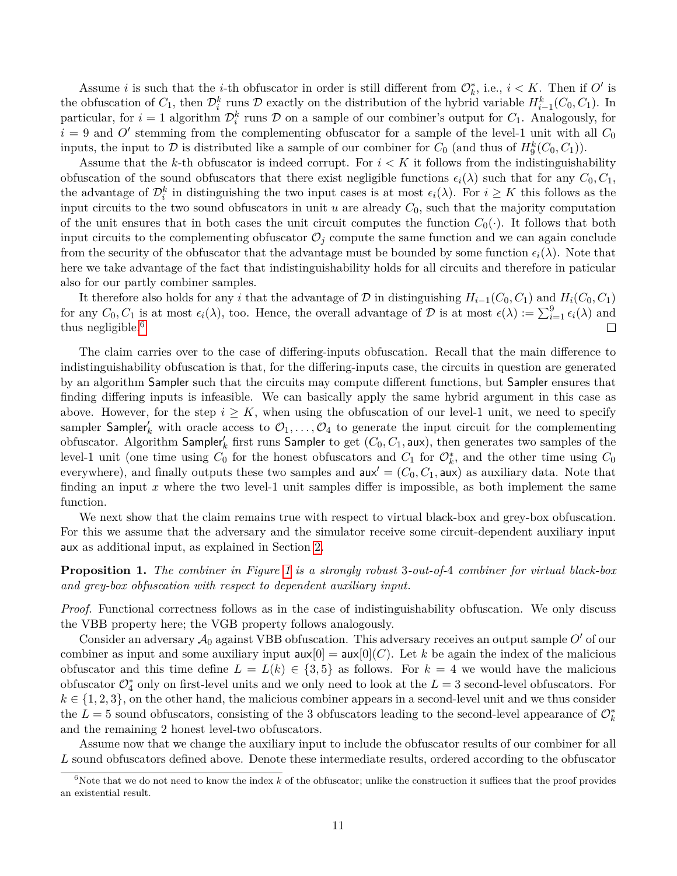Assume *i* is such that the *i*-th obfuscator in order is still different from  $\mathcal{O}_k^*$ , i.e.,  $i < K$ . Then if  $O'$  is the obfuscation of  $C_1$ , then  $\mathcal{D}_i^k$  runs  $\mathcal D$  exactly on the distribution of the hybrid variable  $H_{i-1}^k(C_0, C_1)$ . In particular, for  $i = 1$  algorithm  $\mathcal{D}_i^k$  runs  $\mathcal D$  on a sample of our combiner's output for  $C_1$ . Analogously, for  $i = 9$  and *O'* stemming from the complementing obfuscator for a sample of the level-1 unit with all  $C_0$ inputs, the input to  $\mathcal{D}$  is distributed like a sample of our combiner for  $C_0$  (and thus of  $H_9^k(C_0, C_1)$ ).

Assume that the *k*-th obfuscator is indeed corrupt. For *i < K* it follows from the indistinguishability obfuscation of the sound obfuscators that there exist negligible functions  $\epsilon_i(\lambda)$  such that for any  $C_0, C_1$ , the advantage of  $\mathcal{D}_i^k$  in distinguishing the two input cases is at most  $\epsilon_i(\lambda)$ . For  $i \geq K$  this follows as the input circuits to the two sound obfuscators in unit  $u$  are already  $C_0$ , such that the majority computation of the unit ensures that in both cases the unit circuit computes the function  $C_0(\cdot)$ . It follows that both input circuits to the complementing obfuscator  $\mathcal{O}_j$  compute the same function and we can again conclude from the security of the obfuscator that the advantage must be bounded by some function  $\epsilon_i(\lambda)$ . Note that here we take advantage of the fact that indistinguishability holds for all circuits and therefore in paticular also for our partly combiner samples.

It therefore also holds for any *i* that the advantage of  $\mathcal D$  in distinguishing  $H_{i-1}(C_0, C_1)$  and  $H_i(C_0, C_1)$ for any  $C_0, C_1$  is at most  $\epsilon_i(\lambda)$ , too. Hence, the overall advantage of  $\mathcal D$  is at most  $\epsilon(\lambda) := \sum_{i=1}^9 \epsilon_i(\lambda)$  and thus negligible.<sup>[6](#page-10-0)</sup>  $\Box$ 

The claim carries over to the case of differing-inputs obfuscation. Recall that the main difference to indistinguishability obfuscation is that, for the differing-inputs case, the circuits in question are generated by an algorithm Sampler such that the circuits may compute different functions, but Sampler ensures that finding differing inputs is infeasible. We can basically apply the same hybrid argument in this case as above. However, for the step  $i \geq K$ , when using the obfuscation of our level-1 unit, we need to specify sampler  $\mathsf{Sampler}'_k$  with oracle access to  $\mathcal{O}_1, \ldots, \mathcal{O}_4$  to generate the input circuit for the complementing obfuscator. Algorithm Sampler<sup>0</sup> *<sup>k</sup>* first runs Sampler to get (*C*0*, C*1*,* aux), then generates two samples of the level-1 unit (one time using  $C_0$  for the honest obfuscators and  $C_1$  for  $\mathcal{O}_k^*$ , and the other time using  $C_0$ everywhere), and finally outputs these two samples and  $\mathsf{aux}' = (C_0, C_1, \mathsf{aux})$  as auxiliary data. Note that finding an input x where the two level-1 unit samples differ is impossible, as both implement the same function.

We next show that the claim remains true with respect to virtual black-box and grey-box obfuscation. For this we assume that the adversary and the simulator receive some circuit-dependent auxiliary input aux as additional input, as explained in Section [2.](#page-4-1)

**Proposition 1.** *The combiner in Figure [1](#page-3-0) is a strongly robust* 3*-out-of-*4 *combiner for virtual black-box and grey-box obfuscation with respect to dependent auxiliary input.*

*Proof.* Functional correctness follows as in the case of indistinguishability obfuscation. We only discuss the VBB property here; the VGB property follows analogously.

Consider an adversary  $\mathcal{A}_0$  against VBB obfuscation. This adversary receives an output sample  $O'$  of our combiner as input and some auxiliary input  $\text{aux}[0] = \text{aux}[0](C)$ . Let k be again the index of the malicious obfuscator and this time define  $L = L(k) \in \{3, 5\}$  as follows. For  $k = 4$  we would have the malicious obfuscator  $\mathcal{O}_4^*$  only on first-level units and we only need to look at the  $L=3$  second-level obfuscators. For  $k \in \{1, 2, 3\}$ , on the other hand, the malicious combiner appears in a second-level unit and we thus consider the  $L = 5$  sound obfuscators, consisting of the 3 obfuscators leading to the second-level appearance of  $\mathcal{O}_k^*$ and the remaining 2 honest level-two obfuscators.

Assume now that we change the auxiliary input to include the obfuscator results of our combiner for all *L* sound obfuscators defined above. Denote these intermediate results, ordered according to the obfuscator

<span id="page-10-0"></span> $6$ Note that we do not need to know the index  $k$  of the obfuscator; unlike the construction it suffices that the proof provides an existential result.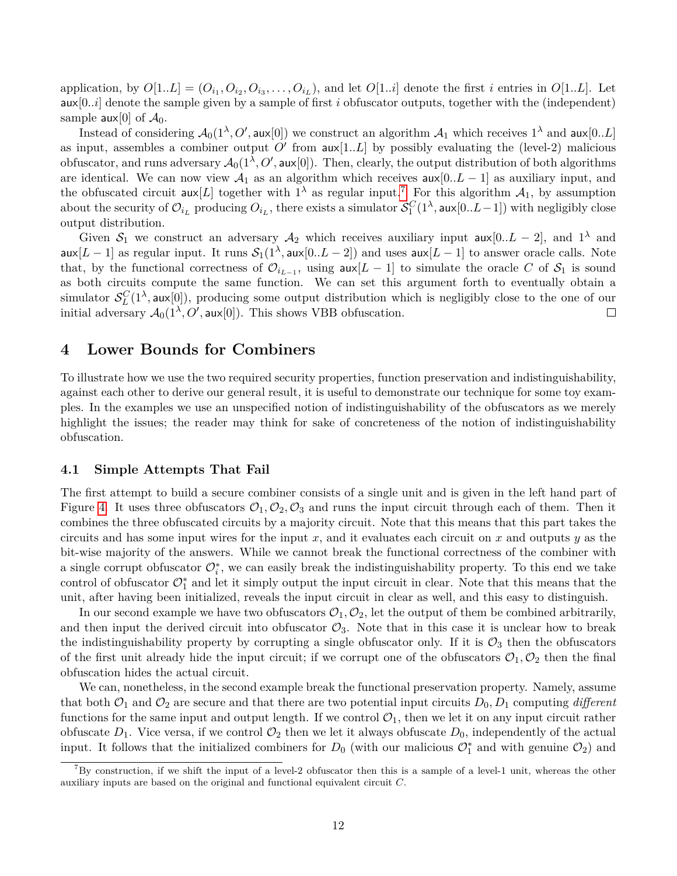application, by  $O[1..L] = (O_{i_1}, O_{i_2}, O_{i_3}, \ldots, O_{i_L})$ , and let  $O[1..i]$  denote the first *i* entries in  $O[1..L]$ . Let aux[0*..i*] denote the sample given by a sample of first *i* obfuscator outputs, together with the (independent) sample aux[0] of  $\mathcal{A}_0$ .

Instead of considering  $\mathcal{A}_0(1^\lambda, O', \text{aux}[0])$  we construct an algorithm  $\mathcal{A}_1$  which receives  $1^\lambda$  and  $\text{aux}[0..L]$ as input, assembles a combiner output  $O'$  from  $\text{aux}[1..L]$  by possibly evaluating the (level-2) malicious obfuscator, and runs adversary  $\mathcal{A}_0(1^\lambda, O', \text{aux}[0])$ . Then, clearly, the output distribution of both algorithms are identical. We can now view  $\mathcal{A}_1$  as an algorithm which receives  $aux[0..L-1]$  as auxiliary input, and the obfuscated circuit  $\textsf{aux}[L]$  together with  $1^{\lambda}$  as regular input.<sup>[7](#page-11-0)</sup> For this algorithm  $\mathcal{A}_1$ , by assumption about the security of  $\mathcal{O}_{i_L}$  producing  $O_{i_L}$ , there exists a simulator  $\mathcal{S}_1^C(1^{\lambda}, \text{aux}[0..L-1])$  with negligibly close output distribution.

Given  $S_1$  we construct an adversary  $A_2$  which receives auxiliary input  $\mathsf{aux}[0..L-2]$ , and  $1^{\lambda}$  and  $\text{aux}[L-1]$  as regular input. It runs  $\mathcal{S}_1(1^{\lambda}, \text{aux}[0..L-2])$  and uses  $\text{aux}[L-1]$  to answer oracle calls. Note that, by the functional correctness of  $\mathcal{O}_{i_{L-1}}$ , using  $\text{aux}[L-1]$  to simulate the oracle *C* of  $\mathcal{S}_1$  is sound as both circuits compute the same function. We can set this argument forth to eventually obtain a simulator  $\mathcal{S}_L^C(1^{\lambda}, \text{aux}[0])$ , producing some output distribution which is negligibly close to the one of our initial adversary  $\mathcal{A}_0(1^\lambda, O', \text{aux}[0])$ . This shows VBB obfuscation.  $\Box$ 

## **4 Lower Bounds for Combiners**

To illustrate how we use the two required security properties, function preservation and indistinguishability, against each other to derive our general result, it is useful to demonstrate our technique for some toy examples. In the examples we use an unspecified notion of indistinguishability of the obfuscators as we merely highlight the issues; the reader may think for sake of concreteness of the notion of indistinguishability obfuscation.

### **4.1 Simple Attempts That Fail**

The first attempt to build a secure combiner consists of a single unit and is given in the left hand part of Figure [4.](#page-12-0) It uses three obfuscators  $\mathcal{O}_1, \mathcal{O}_2, \mathcal{O}_3$  and runs the input circuit through each of them. Then it combines the three obfuscated circuits by a majority circuit. Note that this means that this part takes the circuits and has some input wires for the input *x*, and it evaluates each circuit on *x* and outputs *y* as the bit-wise majority of the answers. While we cannot break the functional correctness of the combiner with a single corrupt obfuscator  $\mathcal{O}_i^*$ , we can easily break the indistinguishability property. To this end we take control of obfuscator  $\mathcal{O}_1^*$  and let it simply output the input circuit in clear. Note that this means that the unit, after having been initialized, reveals the input circuit in clear as well, and this easy to distinguish.

In our second example we have two obfuscators  $\mathcal{O}_1, \mathcal{O}_2$ , let the output of them be combined arbitrarily, and then input the derived circuit into obfuscator  $\mathcal{O}_3$ . Note that in this case it is unclear how to break the indistinguishability property by corrupting a single obfuscator only. If it is  $\mathcal{O}_3$  then the obfuscators of the first unit already hide the input circuit; if we corrupt one of the obfuscators  $\mathcal{O}_1, \mathcal{O}_2$  then the final obfuscation hides the actual circuit.

We can, nonetheless, in the second example break the functional preservation property. Namely, assume that both  $\mathcal{O}_1$  and  $\mathcal{O}_2$  are secure and that there are two potential input circuits  $D_0, D_1$  computing *different* functions for the same input and output length. If we control  $\mathcal{O}_1$ , then we let it on any input circuit rather obfuscate  $D_1$ . Vice versa, if we control  $\mathcal{O}_2$  then we let it always obfuscate  $D_0$ , independently of the actual input. It follows that the initialized combiners for  $D_0$  (with our malicious  $\mathcal{O}_1^*$  and with genuine  $\mathcal{O}_2$ ) and

<span id="page-11-0"></span> ${}^{7}$ By construction, if we shift the input of a level-2 obfuscator then this is a sample of a level-1 unit, whereas the other auxiliary inputs are based on the original and functional equivalent circuit *C*.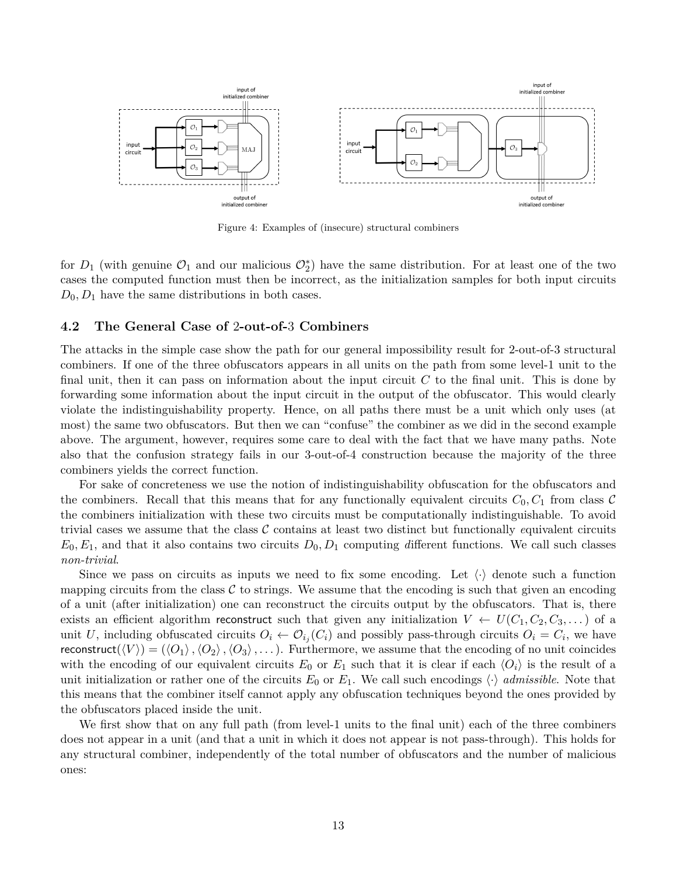<span id="page-12-0"></span>

Figure 4: Examples of (insecure) structural combiners

for  $D_1$  (with genuine  $\mathcal{O}_1$  and our malicious  $\mathcal{O}_2^*$ ) have the same distribution. For at least one of the two cases the computed function must then be incorrect, as the initialization samples for both input circuits  $D_0, D_1$  have the same distributions in both cases.

### **4.2 The General Case of** 2**-out-of-**3 **Combiners**

The attacks in the simple case show the path for our general impossibility result for 2-out-of-3 structural combiners. If one of the three obfuscators appears in all units on the path from some level-1 unit to the final unit, then it can pass on information about the input circuit *C* to the final unit. This is done by forwarding some information about the input circuit in the output of the obfuscator. This would clearly violate the indistinguishability property. Hence, on all paths there must be a unit which only uses (at most) the same two obfuscators. But then we can "confuse" the combiner as we did in the second example above. The argument, however, requires some care to deal with the fact that we have many paths. Note also that the confusion strategy fails in our 3-out-of-4 construction because the majority of the three combiners yields the correct function.

For sake of concreteness we use the notion of indistinguishability obfuscation for the obfuscators and the combiners. Recall that this means that for any functionally equivalent circuits  $C_0, C_1$  from class  $\mathcal{C}$ the combiners initialization with these two circuits must be computationally indistinguishable. To avoid trivial cases we assume that the class C contains at least two distinct but functionally *e*quivalent circuits  $E_0, E_1$ , and that it also contains two circuits  $D_0, D_1$  computing different functions. We call such classes *non-trivial*.

Since we pass on circuits as inputs we need to fix some encoding. Let  $\langle \cdot \rangle$  denote such a function mapping circuits from the class  $\mathcal C$  to strings. We assume that the encoding is such that given an encoding of a unit (after initialization) one can reconstruct the circuits output by the obfuscators. That is, there exists an efficient algorithm reconstruct such that given any initialization  $V \leftarrow U(C_1, C_2, C_3, \dots)$  of a unit *U*, including obfuscated circuits  $O_i \leftarrow O_{i_j}(C_i)$  and possibly pass-through circuits  $O_i = C_i$ , we have reconstruct( $\langle V \rangle$ ) = ( $\langle O_1 \rangle$ ,  $\langle O_2 \rangle$ ,  $\langle O_3 \rangle$ ,...). Furthermore, we assume that the encoding of no unit coincides with the encoding of our equivalent circuits  $E_0$  or  $E_1$  such that it is clear if each  $\langle O_i \rangle$  is the result of a unit initialization or rather one of the circuits  $E_0$  or  $E_1$ . We call such encodings  $\langle \cdot \rangle$  *admissible*. Note that this means that the combiner itself cannot apply any obfuscation techniques beyond the ones provided by the obfuscators placed inside the unit.

We first show that on any full path (from level-1 units to the final unit) each of the three combiners does not appear in a unit (and that a unit in which it does not appear is not pass-through). This holds for any structural combiner, independently of the total number of obfuscators and the number of malicious ones: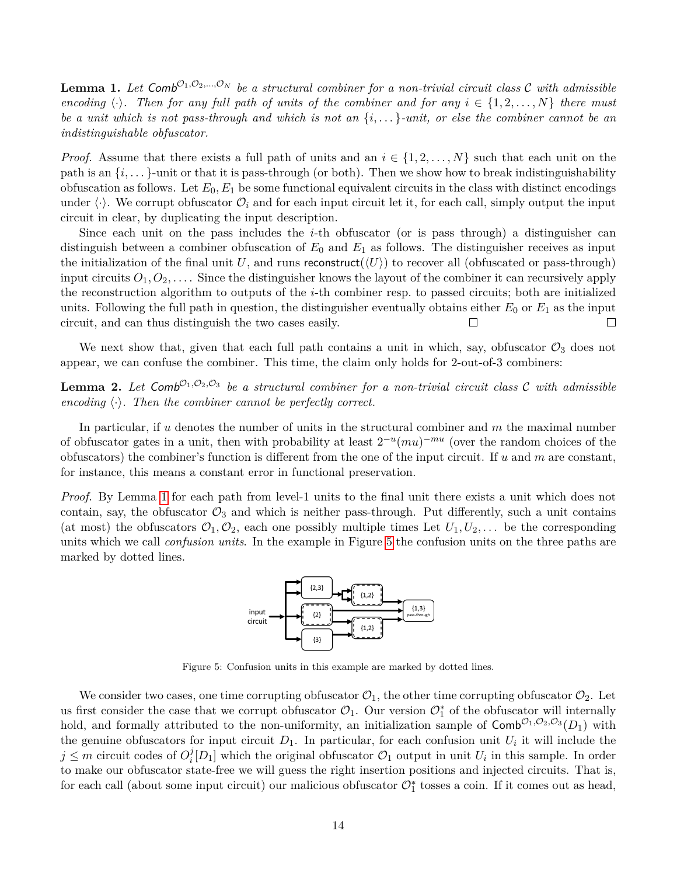<span id="page-13-0"></span>**Lemma 1.** Let  $Comb^{O_1,O_2,...,O_N}$  be a structural combiner for a non-trivial circuit class  $C$  with admissible *encoding*  $\langle \cdot \rangle$ *. Then for any full path of units of the combiner and for any*  $i \in \{1, 2, ..., N\}$  *there must be a unit which is not pass-through and which is not an* {*i, . . .* }*-unit, or else the combiner cannot be an indistinguishable obfuscator.*

*Proof.* Assume that there exists a full path of units and an  $i \in \{1, 2, \ldots, N\}$  such that each unit on the path is an  $\{i, \ldots\}$ -unit or that it is pass-through (or both). Then we show how to break indistinguishability obfuscation as follows. Let *E*0*, E*<sup>1</sup> be some functional equivalent circuits in the class with distinct encodings under  $\langle \cdot \rangle$ . We corrupt obfuscator  $\mathcal{O}_i$  and for each input circuit let it, for each call, simply output the input circuit in clear, by duplicating the input description.

Since each unit on the pass includes the *i*-th obfuscator (or is pass through) a distinguisher can distinguish between a combiner obfuscation of  $E_0$  and  $E_1$  as follows. The distinguisher receives as input the initialization of the final unit U, and runs reconstruct( $\langle U \rangle$ ) to recover all (obfuscated or pass-through) input circuits  $O_1, O_2, \ldots$  Since the distinguisher knows the layout of the combiner it can recursively apply the reconstruction algorithm to outputs of the *i*-th combiner resp. to passed circuits; both are initialized units. Following the full path in question, the distinguisher eventually obtains either *E*<sup>0</sup> or *E*<sup>1</sup> as the input circuit, and can thus distinguish the two cases easily.  $\Box$  $\Box$ 

We next show that, given that each full path contains a unit in which, say, obfuscator  $\mathcal{O}_3$  does not appear, we can confuse the combiner. This time, the claim only holds for 2-out-of-3 combiners:

**Lemma 2.** Let  $Comb^{O_1,O_2,O_3}$  be a structural combiner for a non-trivial circuit class  $C$  with admissible *encoding*  $\langle \cdot \rangle$ *. Then the combiner cannot be perfectly correct.* 

In particular, if *u* denotes the number of units in the structural combiner and *m* the maximal number of obfuscator gates in a unit, then with probability at least  $2^{-u}(mu)^{-mu}$  (over the random choices of the obfuscators) the combiner's function is different from the one of the input circuit. If *u* and *m* are constant, for instance, this means a constant error in functional preservation.

<span id="page-13-1"></span>*Proof.* By Lemma [1](#page-13-0) for each path from level-1 units to the final unit there exists a unit which does not contain, say, the obfuscator  $\mathcal{O}_3$  and which is neither pass-through. Put differently, such a unit contains (at most) the obfuscators  $\mathcal{O}_1, \mathcal{O}_2$ , each one possibly multiple times Let  $U_1, U_2, \ldots$  be the corresponding units which we call *confusion units*. In the example in Figure [5](#page-13-1) the confusion units on the three paths are marked by dotted lines.



Figure 5: Confusion units in this example are marked by dotted lines.

We consider two cases, one time corrupting obfuscator  $\mathcal{O}_1$ , the other time corrupting obfuscator  $\mathcal{O}_2$ . Let us first consider the case that we corrupt obfuscator  $\mathcal{O}_1$ . Our version  $\mathcal{O}_1^*$  of the obfuscator will internally hold, and formally attributed to the non-uniformity, an initialization sample of  $\textsf{Comb}^{\mathcal{O}_1,\mathcal{O}_2,\mathcal{O}_3}(D_1)$  with the genuine obfuscators for input circuit  $D_1$ . In particular, for each confusion unit  $U_i$  it will include the  $j \leq m$  circuit codes of  $O_i^j$  $\mathcal{L}_i^j[D_1]$  which the original obfuscator  $\mathcal{O}_1$  output in unit  $U_i$  in this sample. In order to make our obfuscator state-free we will guess the right insertion positions and injected circuits. That is, for each call (about some input circuit) our malicious obfuscator  $\mathcal{O}_1^*$  tosses a coin. If it comes out as head,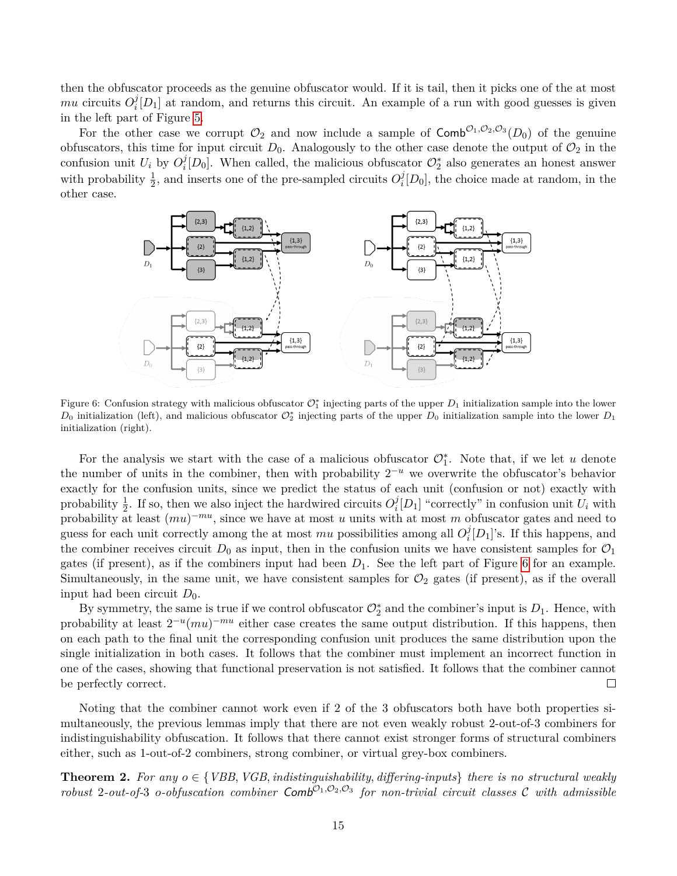then the obfuscator proceeds as the genuine obfuscator would. If it is tail, then it picks one of the at most *mu* circuits  $O_i^j$  $\mathcal{I}_i^{\jmath}[D_1]$  at random, and returns this circuit. An example of a run with good guesses is given in the left part of Figure [5.](#page-13-1)

For the other case we corrupt  $\mathcal{O}_2$  and now include a sample of  $\mathsf{Comb}^{\mathcal{O}_1,\mathcal{O}_2,\mathcal{O}_3}(D_0)$  of the genuine obfuscators, this time for input circuit  $D_0$ . Analogously to the other case denote the output of  $\mathcal{O}_2$  in the confusion unit  $U_i$  by  $O_i^j$  $\mathcal{L}^j_i[D_0]$ . When called, the malicious obfuscator  $\mathcal{O}_2^*$  also generates an honest answer with probability  $\frac{1}{2}$ , and inserts one of the pre-sampled circuits  $O_i^j$  $i<sup>j</sup>[D<sub>0</sub>]$ , the choice made at random, in the other case.

<span id="page-14-0"></span>

Figure 6: Confusion strategy with malicious obfuscator  $\mathcal{O}_1^*$  injecting parts of the upper  $D_1$  initialization sample into the lower  $D_0$  initialization (left), and malicious obfuscator  $\mathcal{O}_2^*$  injecting parts of the upper  $D_0$  initialization sample into the lower  $D_1$ initialization (right).

For the analysis we start with the case of a malicious obfuscator  $\mathcal{O}_1^*$ . Note that, if we let *u* denote the number of units in the combiner, then with probability  $2^{-u}$  we overwrite the obfuscator's behavior exactly for the confusion units, since we predict the status of each unit (confusion or not) exactly with probability  $\frac{1}{2}$ . If so, then we also inject the hardwired circuits  $O_i^j$  $\int_i^j [D_1]$  "correctly" in confusion unit  $U_i$  with probability at least  $(mu)^{-mu}$ , since we have at most *u* units with at most *m* obfuscator gates and need to guess for each unit correctly among the at most  $mu$  possibilities among all  $O_i^j$  $i<sup>j</sup>[D<sub>1</sub>]$ 's. If this happens, and the combiner receives circuit  $D_0$  as input, then in the confusion units we have consistent samples for  $\mathcal{O}_1$ gates (if present), as if the combiners input had been  $D_1$ . See the left part of Figure [6](#page-14-0) for an example. Simultaneously, in the same unit, we have consistent samples for  $\mathcal{O}_2$  gates (if present), as if the overall input had been circuit *D*0.

By symmetry, the same is true if we control obfuscator  $\mathcal{O}_2^*$  and the combiner's input is  $D_1$ . Hence, with probability at least  $2^{-u}(mu)^{-mu}$  either case creates the same output distribution. If this happens, then on each path to the final unit the corresponding confusion unit produces the same distribution upon the single initialization in both cases. It follows that the combiner must implement an incorrect function in one of the cases, showing that functional preservation is not satisfied. It follows that the combiner cannot be perfectly correct.  $\Box$ 

Noting that the combiner cannot work even if 2 of the 3 obfuscators both have both properties simultaneously, the previous lemmas imply that there are not even weakly robust 2-out-of-3 combiners for indistinguishability obfuscation. It follows that there cannot exist stronger forms of structural combiners either, such as 1-out-of-2 combiners, strong combiner, or virtual grey-box combiners.

**Theorem 2.** For any  $o \in \{VBB, VGB, indistinguishability, differing-inputs\}$  there is no structural weakly  $robust\ 2-out-of-3\ o\-obfuscation\ combiner\ Comb^{O_1,O_2,O_3}$  for non-trivial circuit classes  $C$  with admissible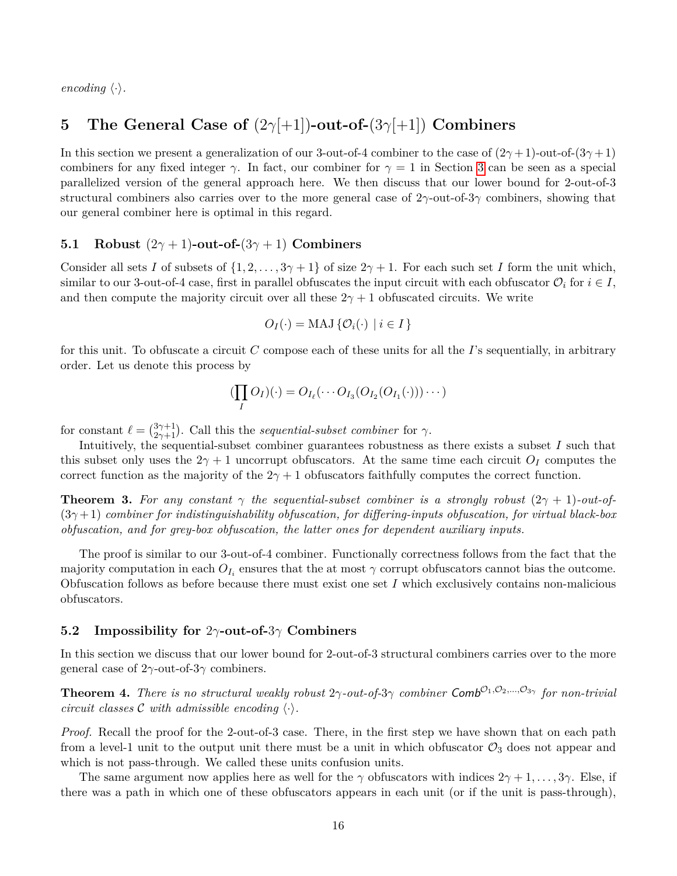*encoding*  $\langle \cdot \rangle$ *.* 

# **5 The General Case of** (2*γ*[+1])**-out-of-**(3*γ*[+1]) **Combiners**

In this section we present a generalization of our 3-out-of-4 combiner to the case of  $(2\gamma + 1)$ -out-of- $(3\gamma + 1)$ combiners for any fixed integer *γ*. In fact, our combiner for  $\gamma = 1$  in Section [3](#page-8-1) can be seen as a special parallelized version of the general approach here. We then discuss that our lower bound for 2-out-of-3 structural combiners also carries over to the more general case of 2*γ*-out-of-3*γ* combiners, showing that our general combiner here is optimal in this regard.

## **5.1 Robust**  $(2\gamma + 1)$ **-out-of-** $(3\gamma + 1)$  **Combiners**

Consider all sets *I* of subsets of  $\{1, 2, \ldots, 3\gamma + 1\}$  of size  $2\gamma + 1$ . For each such set *I* form the unit which, similar to our 3-out-of-4 case, first in parallel obfuscates the input circuit with each obfuscator  $\mathcal{O}_i$  for  $i \in I$ , and then compute the majority circuit over all these  $2\gamma + 1$  obfuscated circuits. We write

$$
O_I(\cdot) = \text{MAJ} \left\{ \mathcal{O}_i(\cdot) \mid i \in I \right\}
$$

for this unit. To obfuscate a circuit *C* compose each of these units for all the *I*'s sequentially, in arbitrary order. Let us denote this process by

$$
(\prod_{I} O_{I})(\cdot) = O_{I_{\ell}}(\cdots O_{I_{3}}(O_{I_{2}}(O_{I_{1}}(\cdot)))\cdots)
$$

for constant  $\ell = \binom{3\gamma+1}{2\gamma+1}$  $\frac{3\gamma+1}{2\gamma+1}$ . Call this the *sequential-subset combiner* for  $\gamma$ .

Intuitively, the sequential-subset combiner guarantees robustness as there exists a subset *I* such that this subset only uses the  $2\gamma + 1$  uncorrupt obfuscators. At the same time each circuit  $O_I$  computes the correct function as the majority of the  $2\gamma + 1$  obfuscators faithfully computes the correct function.

**Theorem 3.** For any constant  $\gamma$  the sequential-subset combiner is a strongly robust  $(2\gamma + 1)$ -out-of-(3*γ* + 1) *combiner for indistinguishability obfuscation, for differing-inputs obfuscation, for virtual black-box obfuscation, and for grey-box obfuscation, the latter ones for dependent auxiliary inputs.*

The proof is similar to our 3-out-of-4 combiner. Functionally correctness follows from the fact that the majority computation in each  $O_{I_i}$  ensures that the at most  $\gamma$  corrupt obfuscators cannot bias the outcome. Obfuscation follows as before because there must exist one set *I* which exclusively contains non-malicious obfuscators.

### **5.2 Impossibility for** 2*γ***-out-of-**3*γ* **Combiners**

In this section we discuss that our lower bound for 2-out-of-3 structural combiners carries over to the more general case of 2*γ*-out-of-3*γ* combiners.

**Theorem 4.** *There is no structural weakly robust*  $2\gamma$ -*out-of-* $3\gamma$  *combiner*  $Comb^{O_1,O_2,...,O_{3\gamma}}$  *for non-trivial circuit classes*  $\mathcal C$  *with admissible encoding*  $\langle \cdot \rangle$ *.* 

*Proof.* Recall the proof for the 2-out-of-3 case. There, in the first step we have shown that on each path from a level-1 unit to the output unit there must be a unit in which obfuscator  $\mathcal{O}_3$  does not appear and which is not pass-through. We called these units confusion units.

The same argument now applies here as well for the *γ* obfuscators with indices  $2\gamma + 1, \ldots, 3\gamma$ . Else, if there was a path in which one of these obfuscators appears in each unit (or if the unit is pass-through),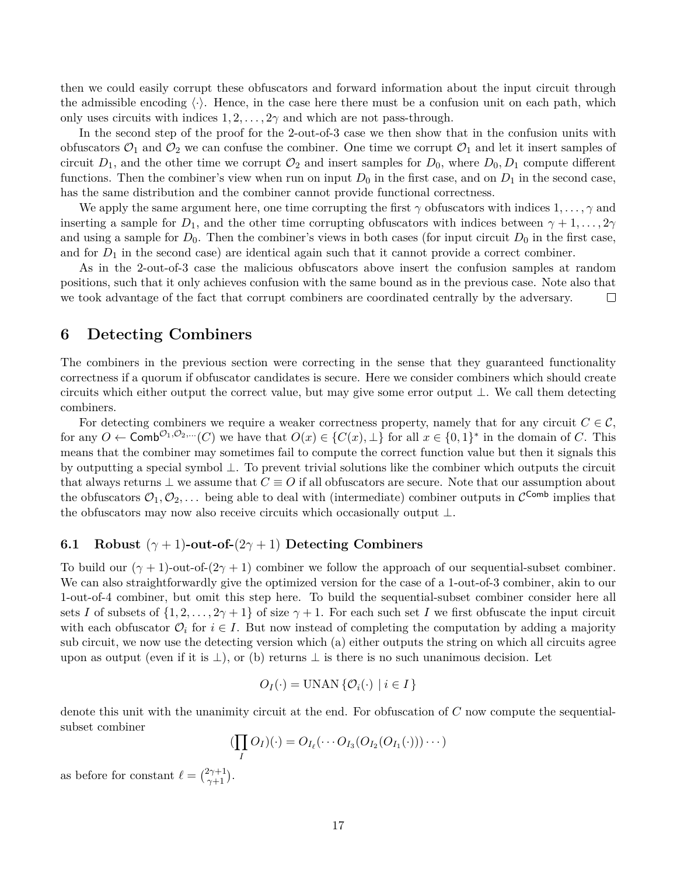then we could easily corrupt these obfuscators and forward information about the input circuit through the admissible encoding  $\langle \cdot \rangle$ . Hence, in the case here there must be a confusion unit on each path, which only uses circuits with indices  $1, 2, \ldots, 2\gamma$  and which are not pass-through.

In the second step of the proof for the 2-out-of-3 case we then show that in the confusion units with obfuscators  $\mathcal{O}_1$  and  $\mathcal{O}_2$  we can confuse the combiner. One time we corrupt  $\mathcal{O}_1$  and let it insert samples of circuit  $D_1$ , and the other time we corrupt  $\mathcal{O}_2$  and insert samples for  $D_0$ , where  $D_0, D_1$  compute different functions. Then the combiner's view when run on input  $D_0$  in the first case, and on  $D_1$  in the second case, has the same distribution and the combiner cannot provide functional correctness.

We apply the same argument here, one time corrupting the first *γ* obfuscators with indices 1*, . . . , γ* and inserting a sample for  $D_1$ , and the other time corrupting obfuscators with indices between  $\gamma + 1, \ldots, 2\gamma$ and using a sample for  $D_0$ . Then the combiner's views in both cases (for input circuit  $D_0$  in the first case, and for  $D_1$  in the second case) are identical again such that it cannot provide a correct combiner.

As in the 2-out-of-3 case the malicious obfuscators above insert the confusion samples at random positions, such that it only achieves confusion with the same bound as in the previous case. Note also that we took advantage of the fact that corrupt combiners are coordinated centrally by the adversary.  $\Box$ 

# **6 Detecting Combiners**

The combiners in the previous section were correcting in the sense that they guaranteed functionality correctness if a quorum if obfuscator candidates is secure. Here we consider combiners which should create circuits which either output the correct value, but may give some error output ⊥. We call them detecting combiners.

For detecting combiners we require a weaker correctness property, namely that for any circuit  $C \in \mathcal{C}$ , for any  $O \leftarrow \textsf{Comb}^{\mathcal{O}_1, \mathcal{O}_2, \dots}(C)$  we have that  $O(x) \in \{C(x), \perp\}$  for all  $x \in \{0,1\}^*$  in the domain of *C*. This means that the combiner may sometimes fail to compute the correct function value but then it signals this by outputting a special symbol ⊥. To prevent trivial solutions like the combiner which outputs the circuit that always returns ⊥ we assume that *C* ≡ *O* if all obfuscators are secure. Note that our assumption about the obfuscators  $\mathcal{O}_1, \mathcal{O}_2, \ldots$  being able to deal with (intermediate) combiner outputs in  $\mathcal{C}^{\mathsf{Comb}}$  implies that the obfuscators may now also receive circuits which occasionally output  $\perp$ .

## **6.1 Robust**  $(γ + 1)$ **-out-of-** $(2γ + 1)$  **Detecting Combiners**

To build our  $(\gamma + 1)$ -out-of- $(2\gamma + 1)$  combiner we follow the approach of our sequential-subset combiner. We can also straightforwardly give the optimized version for the case of a 1-out-of-3 combiner, akin to our 1-out-of-4 combiner, but omit this step here. To build the sequential-subset combiner consider here all sets *I* of subsets of  $\{1, 2, \ldots, 2\gamma + 1\}$  of size  $\gamma + 1$ . For each such set *I* we first obfuscate the input circuit with each obfuscator  $\mathcal{O}_i$  for  $i \in I$ . But now instead of completing the computation by adding a majority sub circuit, we now use the detecting version which (a) either outputs the string on which all circuits agree upon as output (even if it is  $\perp$ ), or (b) returns  $\perp$  is there is no such unanimous decision. Let

$$
O_I(\cdot) = \text{UNAN} \left\{ O_i(\cdot) \mid i \in I \right\}
$$

denote this unit with the unanimity circuit at the end. For obfuscation of *C* now compute the sequentialsubset combiner

$$
(\prod_{I} O_{I})(\cdot) = O_{I_{\ell}}(\cdots O_{I_{3}}(O_{I_{2}}(O_{I_{1}}(\cdot)))\cdots)
$$

as before for constant  $\ell = \binom{2\gamma+1}{\gamma+1}$ <sup>2</sup>γ+1).<br>γ+1<sup>).</sup>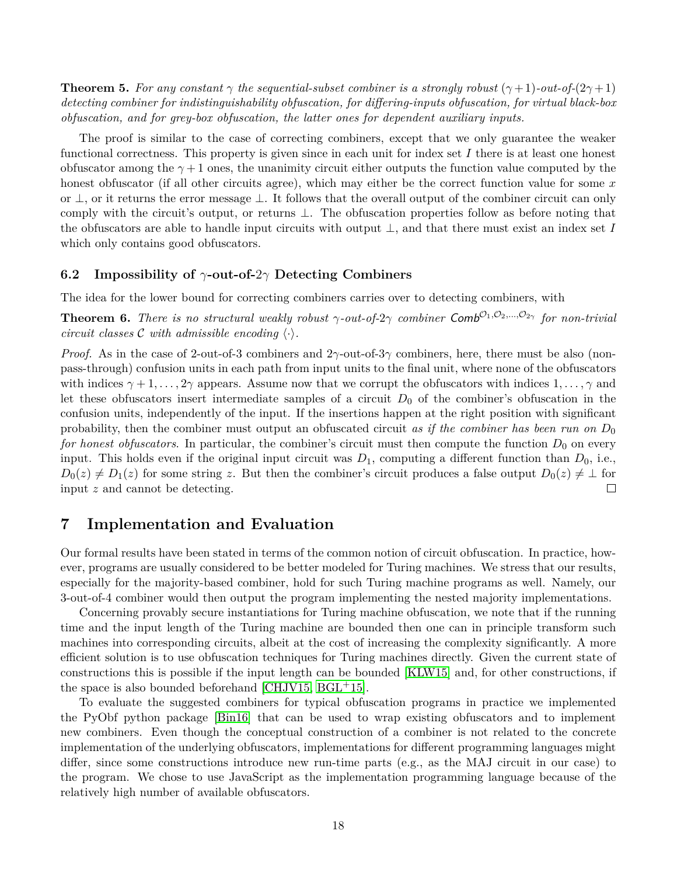<span id="page-17-1"></span>**Theorem 5.** For any constant  $\gamma$  the sequential-subset combiner is a strongly robust  $(\gamma + 1)$ -out-of- $(2\gamma + 1)$ *detecting combiner for indistinguishability obfuscation, for differing-inputs obfuscation, for virtual black-box obfuscation, and for grey-box obfuscation, the latter ones for dependent auxiliary inputs.*

The proof is similar to the case of correcting combiners, except that we only guarantee the weaker functional correctness. This property is given since in each unit for index set *I* there is at least one honest obfuscator among the  $\gamma + 1$  ones, the unanimity circuit either outputs the function value computed by the honest obfuscator (if all other circuits agree), which may either be the correct function value for some *x* or ⊥, or it returns the error message ⊥. It follows that the overall output of the combiner circuit can only comply with the circuit's output, or returns ⊥. The obfuscation properties follow as before noting that the obfuscators are able to handle input circuits with output ⊥, and that there must exist an index set *I* which only contains good obfuscators.

### **6.2 Impossibility of** *γ***-out-of-**2*γ* **Detecting Combiners**

The idea for the lower bound for correcting combiners carries over to detecting combiners, with

**Theorem 6.** *There is no structural weakly robust*  $\gamma$ -*out-of-*2 $\gamma$  *combiner* Comb<sup> $O_1$ , $O_2$ ,..., $O_2$ <sub> $\gamma$ </sub> for non-trivial</sup> *circuit classes*  $\mathcal C$  *with admissible encoding*  $\langle \cdot \rangle$ *.* 

*Proof.* As in the case of 2-out-of-3 combiners and  $2\gamma$ -out-of-3 $\gamma$  combiners, here, there must be also (nonpass-through) confusion units in each path from input units to the final unit, where none of the obfuscators with indices  $\gamma + 1, \ldots, 2\gamma$  appears. Assume now that we corrupt the obfuscators with indices  $1, \ldots, \gamma$  and let these obfuscators insert intermediate samples of a circuit  $D_0$  of the combiner's obfuscation in the confusion units, independently of the input. If the insertions happen at the right position with significant probability, then the combiner must output an obfuscated circuit *as if the combiner has been run on*  $D_0$ *for honest obfuscators*. In particular, the combiner's circuit must then compute the function  $D_0$  on every input. This holds even if the original input circuit was  $D_1$ , computing a different function than  $D_0$ , i.e.,  $D_0(z) \neq D_1(z)$  for some string *z*. But then the combiner's circuit produces a false output  $D_0(z) \neq \perp$  for input *z* and cannot be detecting.  $\Box$ 

## <span id="page-17-0"></span>**7 Implementation and Evaluation**

Our formal results have been stated in terms of the common notion of circuit obfuscation. In practice, however, programs are usually considered to be better modeled for Turing machines. We stress that our results, especially for the majority-based combiner, hold for such Turing machine programs as well. Namely, our 3-out-of-4 combiner would then output the program implementing the nested majority implementations.

Concerning provably secure instantiations for Turing machine obfuscation, we note that if the running time and the input length of the Turing machine are bounded then one can in principle transform such machines into corresponding circuits, albeit at the cost of increasing the complexity significantly. A more efficient solution is to use obfuscation techniques for Turing machines directly. Given the current state of constructions this is possible if the input length can be bounded [\[KLW15\]](#page-24-10) and, for other constructions, if the space is also bounded beforehand [\[CHJV15,](#page-23-11)  $BGL+15$ ].

To evaluate the suggested combiners for typical obfuscation programs in practice we implemented the PyObf python package [\[Bin16\]](#page-22-10) that can be used to wrap existing obfuscators and to implement new combiners. Even though the conceptual construction of a combiner is not related to the concrete implementation of the underlying obfuscators, implementations for different programming languages might differ, since some constructions introduce new run-time parts (e.g., as the MAJ circuit in our case) to the program. We chose to use JavaScript as the implementation programming language because of the relatively high number of available obfuscators.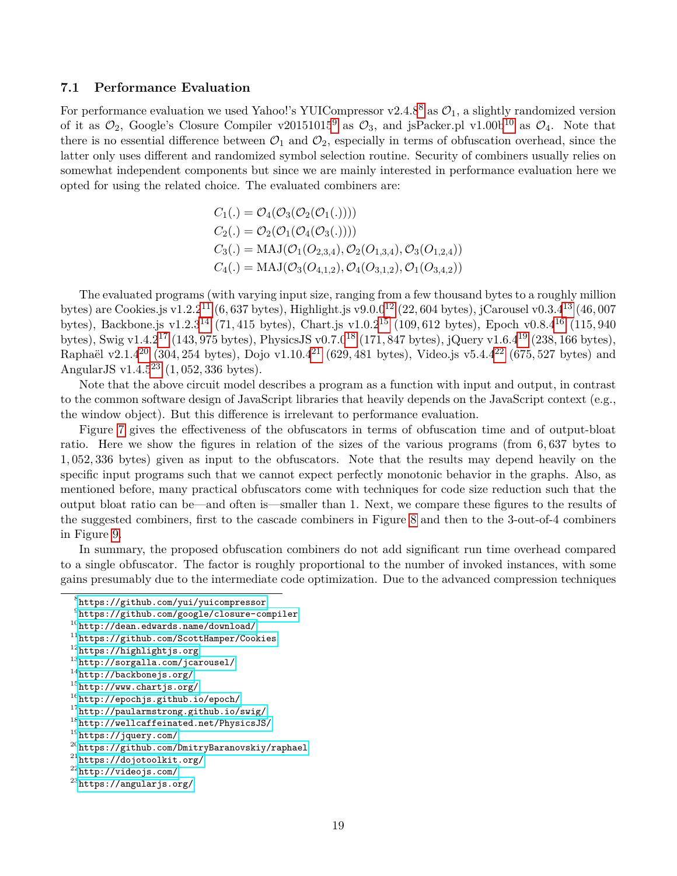### **7.1 Performance Evaluation**

For performance evaluation we used Yahoo!'s YUICompressor v2.4.[8](#page-18-0)<sup>8</sup> as  $\mathcal{O}_1$ , a slightly randomized version of it as  $\mathcal{O}_2$ , Google's Closure Compiler v20151015<sup>[9](#page-18-1)</sup> as  $\mathcal{O}_3$ , and jsPacker.pl v1.00b<sup>[10](#page-18-2)</sup> as  $\mathcal{O}_4$ . Note that there is no essential difference between  $\mathcal{O}_1$  and  $\mathcal{O}_2$ , especially in terms of obfuscation overhead, since the latter only uses different and randomized symbol selection routine. Security of combiners usually relies on somewhat independent components but since we are mainly interested in performance evaluation here we opted for using the related choice. The evaluated combiners are:

$$
C_1(.) = O_4(O_3(O_2(O_1(.))))\n C_2(.) = O_2(O_1(O_4(O_3(.))))\n C_3(.) = MAJ(O_1(O_{2,3,4}), O_2(O_{1,3,4}), O_3(O_{1,2,4}))\n C_4(.) = MAJ(O_3(O_{4,1,2}), O_4(O_{3,1,2}), O_1(O_{3,4,2}))
$$

The evaluated programs (with varying input size, ranging from a few thousand bytes to a roughly million bytes) are Cookies.js v1.2.2[11](#page-18-3) (6*,* 637 bytes), Highlight.js v9.0.0[12](#page-18-4) (22*,* 604 bytes), jCarousel v0.3.4[13](#page-18-5) (46*,* 007 bytes), Backbone.js v1.2.3[14](#page-18-6) (71*,* 415 bytes), Chart.js v1.0.2[15](#page-18-7) (109*,* 612 bytes), Epoch v0.8.4[16](#page-18-8) (115*,* 940 bytes), Swig v1.4.2[17](#page-18-9) (143*,* 975 bytes), PhysicsJS v0.7.0[18](#page-18-10) (171*,* 847 bytes), jQuery v1.6.4[19](#page-18-11) (238*,* 166 bytes), Raphaël v2.1.4[20](#page-18-12) (304*,* 254 bytes), Dojo v1.10.4[21](#page-18-13) (629*,* 481 bytes), Video.js v5.4.4[22](#page-18-14) (675*,* 527 bytes) and AngularJS v1.4.5[23](#page-18-15) (1*,* 052*,* 336 bytes).

Note that the above circuit model describes a program as a function with input and output, in contrast to the common software design of JavaScript libraries that heavily depends on the JavaScript context (e.g., the window object). But this difference is irrelevant to performance evaluation.

Figure [7](#page-19-0) gives the effectiveness of the obfuscators in terms of obfuscation time and of output-bloat ratio. Here we show the figures in relation of the sizes of the various programs (from 6*,* 637 bytes to 1*,* 052*,* 336 bytes) given as input to the obfuscators. Note that the results may depend heavily on the specific input programs such that we cannot expect perfectly monotonic behavior in the graphs. Also, as mentioned before, many practical obfuscators come with techniques for code size reduction such that the output bloat ratio can be—and often is—smaller than 1. Next, we compare these figures to the results of the suggested combiners, first to the cascade combiners in Figure [8](#page-19-1) and then to the 3-out-of-4 combiners in Figure [9.](#page-20-0)

In summary, the proposed obfuscation combiners do not add significant run time overhead compared to a single obfuscator. The factor is roughly proportional to the number of invoked instances, with some gains presumably due to the intermediate code optimization. Due to the advanced compression techniques

<span id="page-18-0"></span> $^8$ <https://github.com/yui/yuicompressor>

<span id="page-18-1"></span> $^{9}$ <https://github.com/google/closure-compiler>

<span id="page-18-2"></span> $^{10}$ <http://dean.edwards.name/download/>

<span id="page-18-3"></span><sup>11</sup><https://github.com/ScottHamper/Cookies>

<span id="page-18-4"></span><sup>12</sup><https://highlightjs.org>

<span id="page-18-5"></span><sup>13</sup><http://sorgalla.com/jcarousel/>

<span id="page-18-6"></span><sup>14</sup><http://backbonejs.org/>

<span id="page-18-7"></span> $15$ <http://www.chartjs.org/>

<span id="page-18-8"></span><sup>16</sup><http://epochjs.github.io/epoch/>

<span id="page-18-9"></span><sup>17</sup><http://paularmstrong.github.io/swig/>

<span id="page-18-10"></span><sup>18</sup><http://wellcaffeinated.net/PhysicsJS/>

<span id="page-18-11"></span><sup>19</sup><https://jquery.com/>

<span id="page-18-12"></span> $^{20}\rm{https://github.com/DmitryBaranovskip/raphael}$ 

<span id="page-18-13"></span><sup>21</sup><https://dojotoolkit.org/>

<span id="page-18-14"></span> $^{22}$ <http://videojs.com/>

<span id="page-18-15"></span> $^{23}$ <https://angularjs.org/>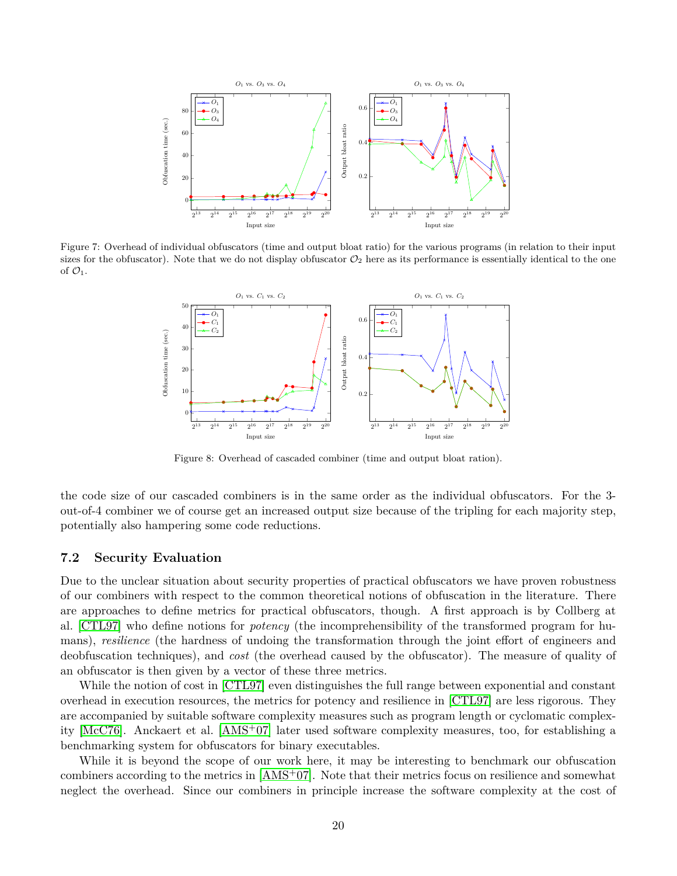<span id="page-19-2"></span><span id="page-19-0"></span>

<span id="page-19-1"></span>Figure 7: Overhead of individual obfuscators (time and output bloat ratio) for the various programs (in relation to their input sizes for the obfuscator). Note that we do not display obfuscator  $\mathcal{O}_2$  here as its performance is essentially identical to the one of  $\mathcal{O}_1$ .



Figure 8: Overhead of cascaded combiner (time and output bloat ration).

the code size of our cascaded combiners is in the same order as the individual obfuscators. For the 3 out-of-4 combiner we of course get an increased output size because of the tripling for each majority step, potentially also hampering some code reductions.

### **7.2 Security Evaluation**

Due to the unclear situation about security properties of practical obfuscators we have proven robustness of our combiners with respect to the common theoretical notions of obfuscation in the literature. There are approaches to define metrics for practical obfuscators, though. A first approach is by Collberg at al. [\[CTL97\]](#page-23-8) who define notions for *potency* (the incomprehensibility of the transformed program for humans), *resilience* (the hardness of undoing the transformation through the joint effort of engineers and deobfuscation techniques), and *cost* (the overhead caused by the obfuscator). The measure of quality of an obfuscator is then given by a vector of these three metrics.

While the notion of cost in [\[CTL97\]](#page-23-8) even distinguishes the full range between exponential and constant overhead in execution resources, the metrics for potency and resilience in [\[CTL97\]](#page-23-8) are less rigorous. They are accompanied by suitable software complexity measures such as program length or cyclomatic complexity  $[MC76]$ . Anckaert et al.  $[AMS<sup>+</sup>07]$  $[AMS<sup>+</sup>07]$  later used software complexity measures, too, for establishing a benchmarking system for obfuscators for binary executables.

While it is beyond the scope of our work here, it may be interesting to benchmark our obfuscation combiners according to the metrics in  $[AMS<sup>+</sup>07]$  $[AMS<sup>+</sup>07]$ . Note that their metrics focus on resilience and somewhat neglect the overhead. Since our combiners in principle increase the software complexity at the cost of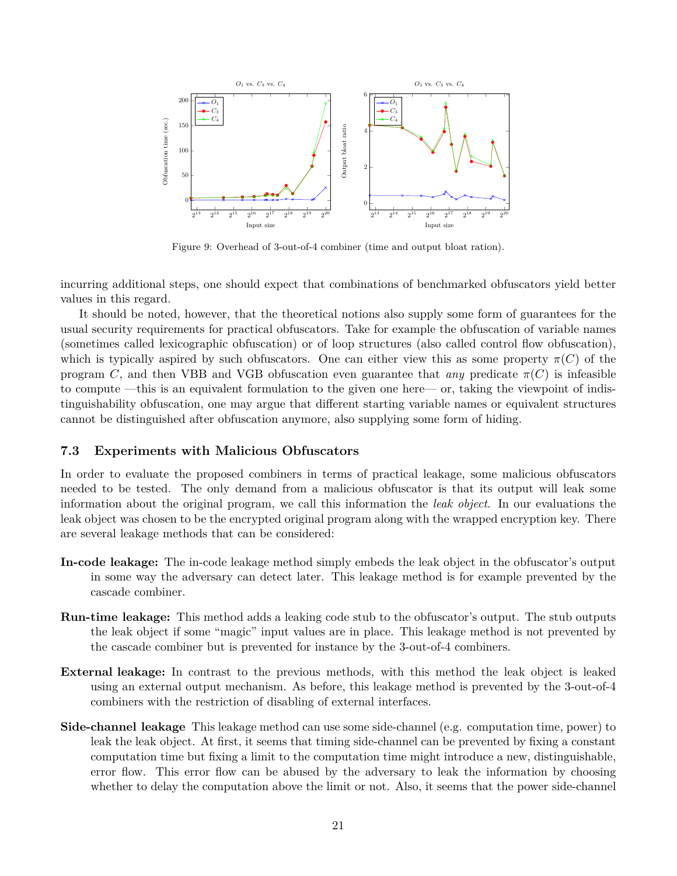<span id="page-20-0"></span>

Figure 9: Overhead of 3-out-of-4 combiner (time and output bloat ration).

incurring additional steps, one should expect that combinations of benchmarked obfuscators yield better values in this regard.

It should be noted, however, that the theoretical notions also supply some form of guarantees for the usual security requirements for practical obfuscators. Take for example the obfuscation of variable names (sometimes called lexicographic obfuscation) or of loop structures (also called control flow obfuscation), which is typically aspired by such obfuscators. One can either view this as some property  $\pi(C)$  of the program *C*, and then VBB and VGB obfuscation even guarantee that *any* predicate  $\pi(C)$  is infeasible to compute —this is an equivalent formulation to the given one here— or, taking the viewpoint of indistinguishability obfuscation, one may argue that different starting variable names or equivalent structures cannot be distinguished after obfuscation anymore, also supplying some form of hiding.

## **7.3 Experiments with Malicious Obfuscators**

In order to evaluate the proposed combiners in terms of practical leakage, some malicious obfuscators needed to be tested. The only demand from a malicious obfuscator is that its output will leak some information about the original program, we call this information the *leak object*. In our evaluations the leak object was chosen to be the encrypted original program along with the wrapped encryption key. There are several leakage methods that can be considered:

- **In-code leakage:** The in-code leakage method simply embeds the leak object in the obfuscator's output in some way the adversary can detect later. This leakage method is for example prevented by the cascade combiner.
- **Run-time leakage:** This method adds a leaking code stub to the obfuscator's output. The stub outputs the leak object if some "magic" input values are in place. This leakage method is not prevented by the cascade combiner but is prevented for instance by the 3-out-of-4 combiners.
- **External leakage:** In contrast to the previous methods, with this method the leak object is leaked using an external output mechanism. As before, this leakage method is prevented by the 3-out-of-4 combiners with the restriction of disabling of external interfaces.
- **Side-channel leakage** This leakage method can use some side-channel (e.g. computation time, power) to leak the leak object. At first, it seems that timing side-channel can be prevented by fixing a constant computation time but fixing a limit to the computation time might introduce a new, distinguishable, error flow. This error flow can be abused by the adversary to leak the information by choosing whether to delay the computation above the limit or not. Also, it seems that the power side-channel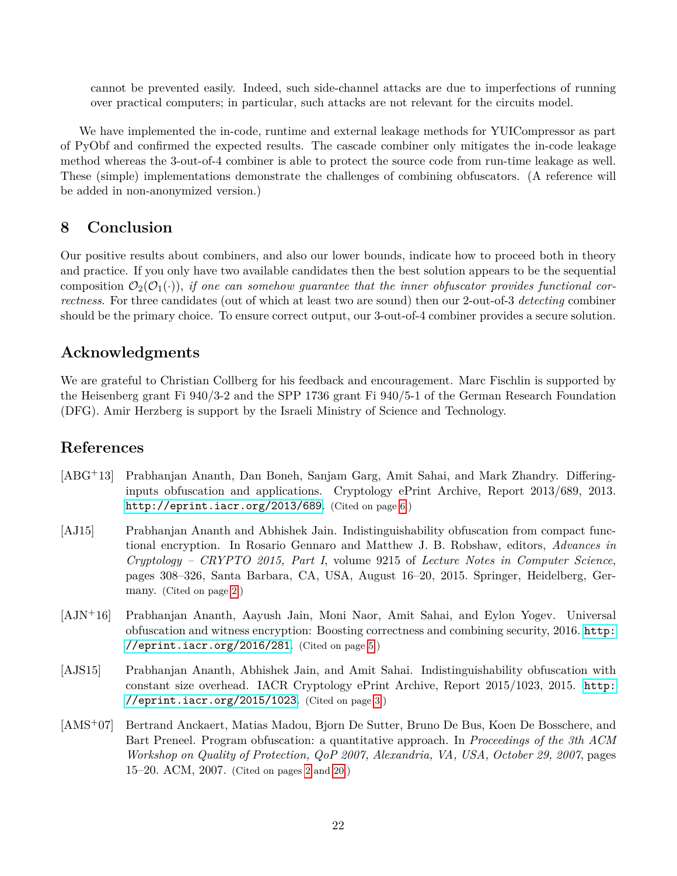cannot be prevented easily. Indeed, such side-channel attacks are due to imperfections of running over practical computers; in particular, such attacks are not relevant for the circuits model.

We have implemented the in-code, runtime and external leakage methods for YUICompressor as part of PyObf and confirmed the expected results. The cascade combiner only mitigates the in-code leakage method whereas the 3-out-of-4 combiner is able to protect the source code from run-time leakage as well. These (simple) implementations demonstrate the challenges of combining obfuscators. (A reference will be added in non-anonymized version.)

# **8 Conclusion**

Our positive results about combiners, and also our lower bounds, indicate how to proceed both in theory and practice. If you only have two available candidates then the best solution appears to be the sequential composition  $\mathcal{O}_2(\mathcal{O}_1(\cdot))$ , *if one can somehow quarantee that the inner obfuscator provides functional correctness*. For three candidates (out of which at least two are sound) then our 2-out-of-3 *detecting* combiner should be the primary choice. To ensure correct output, our 3-out-of-4 combiner provides a secure solution.

# **Acknowledgments**

We are grateful to Christian Collberg for his feedback and encouragement. Marc Fischlin is supported by the Heisenberg grant Fi 940/3-2 and the SPP 1736 grant Fi 940/5-1 of the German Research Foundation (DFG). Amir Herzberg is support by the Israeli Ministry of Science and Technology.

# **References**

- <span id="page-21-4"></span>[ABG+13] Prabhanjan Ananth, Dan Boneh, Sanjam Garg, Amit Sahai, and Mark Zhandry. Differinginputs obfuscation and applications. Cryptology ePrint Archive, Report 2013/689, 2013. <http://eprint.iacr.org/2013/689>. (Cited on page [6.](#page-5-0))
- <span id="page-21-0"></span>[AJ15] Prabhanjan Ananth and Abhishek Jain. Indistinguishability obfuscation from compact functional encryption. In Rosario Gennaro and Matthew J. B. Robshaw, editors, *Advances in Cryptology – CRYPTO 2015, Part I*, volume 9215 of *Lecture Notes in Computer Science*, pages 308–326, Santa Barbara, CA, USA, August 16–20, 2015. Springer, Heidelberg, Germany. (Cited on page [2.](#page-1-2))
- <span id="page-21-3"></span>[AJN+16] Prabhanjan Ananth, Aayush Jain, Moni Naor, Amit Sahai, and Eylon Yogev. Universal obfuscation and witness encryption: Boosting correctness and combining security, 2016. [http:](http://eprint.iacr.org/2016/281) [//eprint.iacr.org/2016/281](http://eprint.iacr.org/2016/281). (Cited on page [5.](#page-4-2))
- <span id="page-21-2"></span>[AJS15] Prabhanjan Ananth, Abhishek Jain, and Amit Sahai. Indistinguishability obfuscation with constant size overhead. IACR Cryptology ePrint Archive, Report 2015/1023, 2015. [http:](http://eprint.iacr.org/2015/1023) [//eprint.iacr.org/2015/1023](http://eprint.iacr.org/2015/1023). (Cited on page [3.](#page-2-1))
- <span id="page-21-1"></span>[AMS+07] Bertrand Anckaert, Matias Madou, Bjorn De Sutter, Bruno De Bus, Koen De Bosschere, and Bart Preneel. Program obfuscation: a quantitative approach. In *Proceedings of the 3th ACM Workshop on Quality of Protection, QoP 2007, Alexandria, VA, USA, October 29, 2007*, pages 15–20. ACM, 2007. (Cited on pages [2](#page-1-2) and [20.](#page-19-2))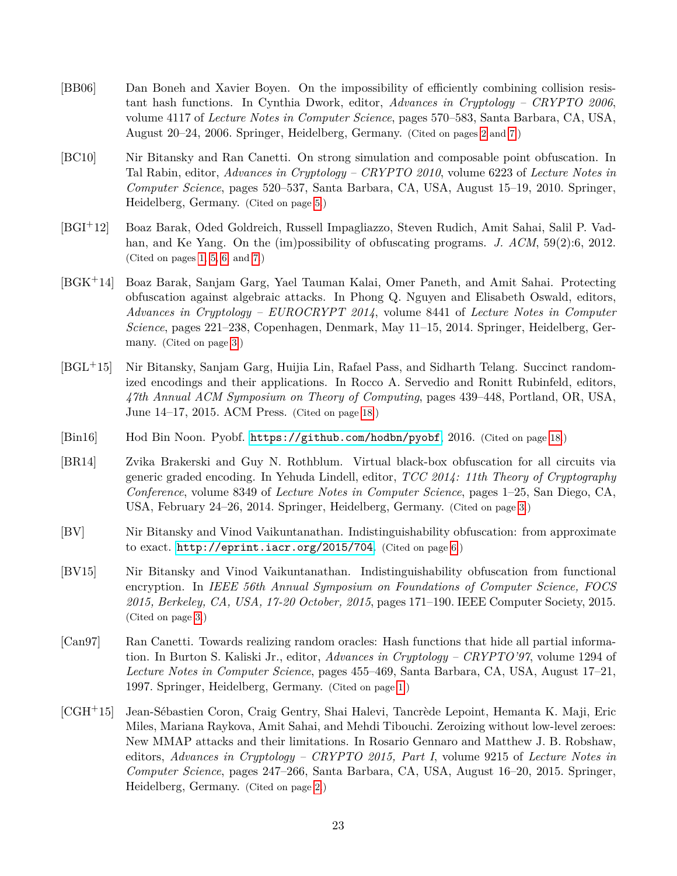- <span id="page-22-3"></span>[BB06] Dan Boneh and Xavier Boyen. On the impossibility of efficiently combining collision resistant hash functions. In Cynthia Dwork, editor, *Advances in Cryptology – CRYPTO 2006*, volume 4117 of *Lecture Notes in Computer Science*, pages 570–583, Santa Barbara, CA, USA, August 20–24, 2006. Springer, Heidelberg, Germany. (Cited on pages [2](#page-1-2) and [7.](#page-6-1))
- <span id="page-22-7"></span>[BC10] Nir Bitansky and Ran Canetti. On strong simulation and composable point obfuscation. In Tal Rabin, editor, *Advances in Cryptology – CRYPTO 2010*, volume 6223 of *Lecture Notes in Computer Science*, pages 520–537, Santa Barbara, CA, USA, August 15–19, 2010. Springer, Heidelberg, Germany. (Cited on page [5.](#page-4-2))
- <span id="page-22-0"></span>[BGI+12] Boaz Barak, Oded Goldreich, Russell Impagliazzo, Steven Rudich, Amit Sahai, Salil P. Vadhan, and Ke Yang. On the (im)possibility of obfuscating programs. *J. ACM*, 59(2):6, 2012. (Cited on pages [1,](#page-0-0) [5,](#page-4-2) [6,](#page-5-0) and [7.](#page-6-1))
- <span id="page-22-5"></span>[BGK+14] Boaz Barak, Sanjam Garg, Yael Tauman Kalai, Omer Paneth, and Amit Sahai. Protecting obfuscation against algebraic attacks. In Phong Q. Nguyen and Elisabeth Oswald, editors, *Advances in Cryptology – EUROCRYPT 2014*, volume 8441 of *Lecture Notes in Computer Science*, pages 221–238, Copenhagen, Denmark, May 11–15, 2014. Springer, Heidelberg, Germany. (Cited on page [3.](#page-2-1))
- <span id="page-22-9"></span>[BGL+15] Nir Bitansky, Sanjam Garg, Huijia Lin, Rafael Pass, and Sidharth Telang. Succinct randomized encodings and their applications. In Rocco A. Servedio and Ronitt Rubinfeld, editors, *47th Annual ACM Symposium on Theory of Computing*, pages 439–448, Portland, OR, USA, June 14–17, 2015. ACM Press. (Cited on page [18.](#page-17-1))
- <span id="page-22-10"></span>[Bin16] Hod Bin Noon. Pyobf. <https://github.com/hodbn/pyobf>, 2016. (Cited on page [18.](#page-17-1))
- <span id="page-22-4"></span>[BR14] Zvika Brakerski and Guy N. Rothblum. Virtual black-box obfuscation for all circuits via generic graded encoding. In Yehuda Lindell, editor, *TCC 2014: 11th Theory of Cryptography Conference*, volume 8349 of *Lecture Notes in Computer Science*, pages 1–25, San Diego, CA, USA, February 24–26, 2014. Springer, Heidelberg, Germany. (Cited on page [3.](#page-2-1))
- <span id="page-22-8"></span>[BV] Nir Bitansky and Vinod Vaikuntanathan. Indistinguishability obfuscation: from approximate to exact. <http://eprint.iacr.org/2015/704>. (Cited on page [6.](#page-5-0))
- <span id="page-22-6"></span>[BV15] Nir Bitansky and Vinod Vaikuntanathan. Indistinguishability obfuscation from functional encryption. In *IEEE 56th Annual Symposium on Foundations of Computer Science, FOCS 2015, Berkeley, CA, USA, 17-20 October, 2015*, pages 171–190. IEEE Computer Society, 2015. (Cited on page [3.](#page-2-1))
- <span id="page-22-1"></span>[Can97] Ran Canetti. Towards realizing random oracles: Hash functions that hide all partial information. In Burton S. Kaliski Jr., editor, *Advances in Cryptology – CRYPTO'97*, volume 1294 of *Lecture Notes in Computer Science*, pages 455–469, Santa Barbara, CA, USA, August 17–21, 1997. Springer, Heidelberg, Germany. (Cited on page [1.](#page-0-0))
- <span id="page-22-2"></span>[CGH+15] Jean-Sébastien Coron, Craig Gentry, Shai Halevi, Tancrède Lepoint, Hemanta K. Maji, Eric Miles, Mariana Raykova, Amit Sahai, and Mehdi Tibouchi. Zeroizing without low-level zeroes: New MMAP attacks and their limitations. In Rosario Gennaro and Matthew J. B. Robshaw, editors, *Advances in Cryptology – CRYPTO 2015, Part I*, volume 9215 of *Lecture Notes in Computer Science*, pages 247–266, Santa Barbara, CA, USA, August 16–20, 2015. Springer, Heidelberg, Germany. (Cited on page [2.](#page-1-2))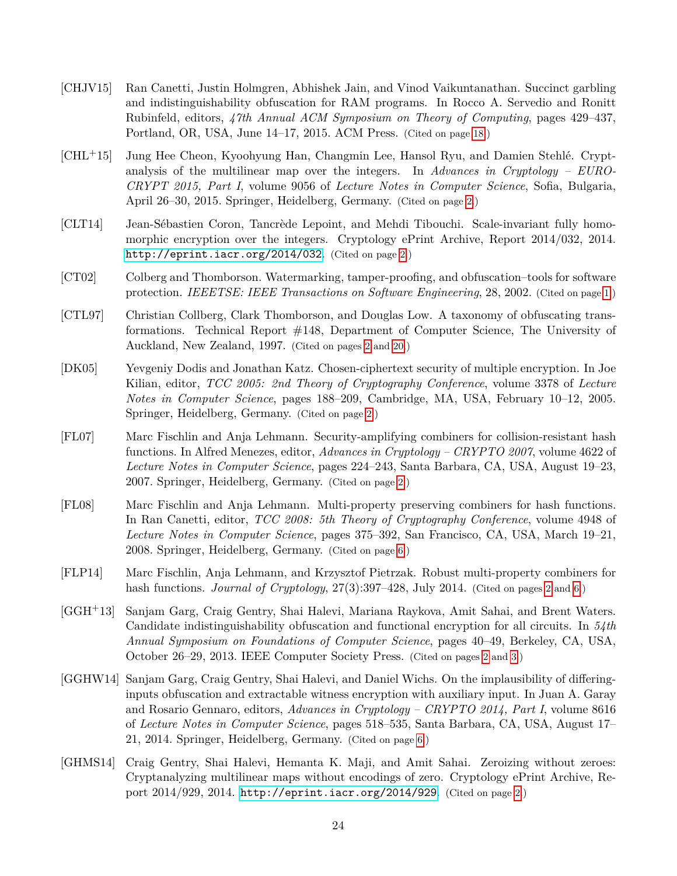- <span id="page-23-11"></span>[CHJV15] Ran Canetti, Justin Holmgren, Abhishek Jain, and Vinod Vaikuntanathan. Succinct garbling and indistinguishability obfuscation for RAM programs. In Rocco A. Servedio and Ronitt Rubinfeld, editors, *47th Annual ACM Symposium on Theory of Computing*, pages 429–437, Portland, OR, USA, June 14–17, 2015. ACM Press. (Cited on page [18.](#page-17-1))
- <span id="page-23-2"></span>[CHL+15] Jung Hee Cheon, Kyoohyung Han, Changmin Lee, Hansol Ryu, and Damien Stehlé. Cryptanalysis of the multilinear map over the integers. In *Advances in Cryptology – EURO-CRYPT 2015, Part I*, volume 9056 of *Lecture Notes in Computer Science*, Sofia, Bulgaria, April 26–30, 2015. Springer, Heidelberg, Germany. (Cited on page [2.](#page-1-2))
- <span id="page-23-3"></span>[CLT14] Jean-Sébastien Coron, Tancrède Lepoint, and Mehdi Tibouchi. Scale-invariant fully homomorphic encryption over the integers. Cryptology ePrint Archive, Report 2014/032, 2014. <http://eprint.iacr.org/2014/032>. (Cited on page [2.](#page-1-2))
- <span id="page-23-0"></span>[CT02] Colberg and Thomborson. Watermarking, tamper-proofing, and obfuscation–tools for software protection. *IEEETSE: IEEE Transactions on Software Engineering*, 28, 2002. (Cited on page [1.](#page-0-0))
- <span id="page-23-8"></span>[CTL97] Christian Collberg, Clark Thomborson, and Douglas Low. A taxonomy of obfuscating transformations. Technical Report #148, Department of Computer Science, The University of Auckland, New Zealand, 1997. (Cited on pages [2](#page-1-2) and [20.](#page-19-2))
- <span id="page-23-7"></span>[DK05] Yevgeniy Dodis and Jonathan Katz. Chosen-ciphertext security of multiple encryption. In Joe Kilian, editor, *TCC 2005: 2nd Theory of Cryptography Conference*, volume 3378 of *Lecture Notes in Computer Science*, pages 188–209, Cambridge, MA, USA, February 10–12, 2005. Springer, Heidelberg, Germany. (Cited on page [2.](#page-1-2))
- <span id="page-23-5"></span>[FL07] Marc Fischlin and Anja Lehmann. Security-amplifying combiners for collision-resistant hash functions. In Alfred Menezes, editor, *Advances in Cryptology – CRYPTO 2007*, volume 4622 of *Lecture Notes in Computer Science*, pages 224–243, Santa Barbara, CA, USA, August 19–23, 2007. Springer, Heidelberg, Germany. (Cited on page [2.](#page-1-2))
- <span id="page-23-10"></span>[FL08] Marc Fischlin and Anja Lehmann. Multi-property preserving combiners for hash functions. In Ran Canetti, editor, *TCC 2008: 5th Theory of Cryptography Conference*, volume 4948 of *Lecture Notes in Computer Science*, pages 375–392, San Francisco, CA, USA, March 19–21, 2008. Springer, Heidelberg, Germany. (Cited on page [6.](#page-5-0))
- <span id="page-23-6"></span>[FLP14] Marc Fischlin, Anja Lehmann, and Krzysztof Pietrzak. Robust multi-property combiners for hash functions. *Journal of Cryptology*, [2](#page-1-2)7(3):397–428, July 2014. (Cited on pages 2 and [6.](#page-5-0))
- <span id="page-23-1"></span>[GGH+13] Sanjam Garg, Craig Gentry, Shai Halevi, Mariana Raykova, Amit Sahai, and Brent Waters. Candidate indistinguishability obfuscation and functional encryption for all circuits. In *54th Annual Symposium on Foundations of Computer Science*, pages 40–49, Berkeley, CA, USA, October 26–29, 2013. IEEE Computer Society Press. (Cited on pages [2](#page-1-2) and [3.](#page-2-1))
- <span id="page-23-9"></span>[GGHW14] Sanjam Garg, Craig Gentry, Shai Halevi, and Daniel Wichs. On the implausibility of differinginputs obfuscation and extractable witness encryption with auxiliary input. In Juan A. Garay and Rosario Gennaro, editors, *Advances in Cryptology – CRYPTO 2014, Part I*, volume 8616 of *Lecture Notes in Computer Science*, pages 518–535, Santa Barbara, CA, USA, August 17– 21, 2014. Springer, Heidelberg, Germany. (Cited on page [6.](#page-5-0))
- <span id="page-23-4"></span>[GHMS14] Craig Gentry, Shai Halevi, Hemanta K. Maji, and Amit Sahai. Zeroizing without zeroes: Cryptanalyzing multilinear maps without encodings of zero. Cryptology ePrint Archive, Report 2014/929, 2014. <http://eprint.iacr.org/2014/929>. (Cited on page [2.](#page-1-2))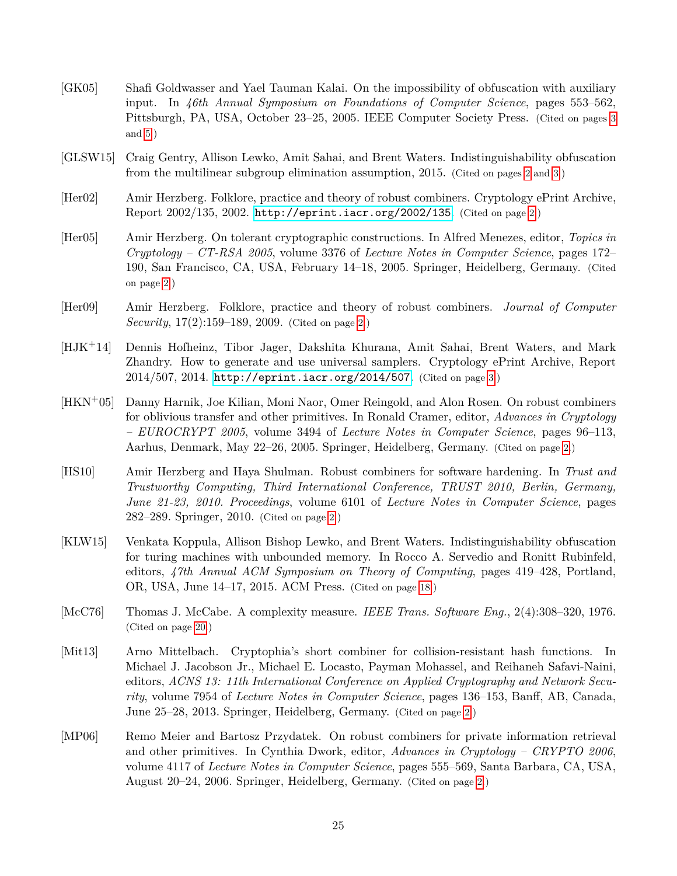- <span id="page-24-9"></span>[GK05] Shafi Goldwasser and Yael Tauman Kalai. On the impossibility of obfuscation with auxiliary input. In *46th Annual Symposium on Foundations of Computer Science*, pages 553–562, Pittsburgh, PA, USA, October 23–25, 2005. IEEE Computer Society Press. (Cited on pages [3](#page-2-1) and [5.](#page-4-2))
- <span id="page-24-0"></span>[GLSW15] Craig Gentry, Allison Lewko, Amit Sahai, and Brent Waters. Indistinguishability obfuscation from the multilinear subgroup elimination assumption, 2015. (Cited on pages [2](#page-1-2) and [3.](#page-2-1))
- <span id="page-24-2"></span>[Her02] Amir Herzberg. Folklore, practice and theory of robust combiners. Cryptology ePrint Archive, Report 2002/135, 2002. <http://eprint.iacr.org/2002/135>. (Cited on page [2.](#page-1-2))
- <span id="page-24-3"></span>[Her05] Amir Herzberg. On tolerant cryptographic constructions. In Alfred Menezes, editor, *Topics in Cryptology – CT-RSA 2005*, volume 3376 of *Lecture Notes in Computer Science*, pages 172– 190, San Francisco, CA, USA, February 14–18, 2005. Springer, Heidelberg, Germany. (Cited on page [2.](#page-1-2))
- <span id="page-24-4"></span>[Her09] Amir Herzberg. Folklore, practice and theory of robust combiners. *Journal of Computer Security*, 17(2):159–189, 2009. (Cited on page [2.](#page-1-2))
- <span id="page-24-8"></span>[HJK+14] Dennis Hofheinz, Tibor Jager, Dakshita Khurana, Amit Sahai, Brent Waters, and Mark Zhandry. How to generate and use universal samplers. Cryptology ePrint Archive, Report 2014/507, 2014. <http://eprint.iacr.org/2014/507>. (Cited on page [3.](#page-2-1))
- <span id="page-24-1"></span>[HKN+05] Danny Harnik, Joe Kilian, Moni Naor, Omer Reingold, and Alon Rosen. On robust combiners for oblivious transfer and other primitives. In Ronald Cramer, editor, *Advances in Cryptology – EUROCRYPT 2005*, volume 3494 of *Lecture Notes in Computer Science*, pages 96–113, Aarhus, Denmark, May 22–26, 2005. Springer, Heidelberg, Germany. (Cited on page [2.](#page-1-2))
- <span id="page-24-7"></span>[HS10] Amir Herzberg and Haya Shulman. Robust combiners for software hardening. In *Trust and Trustworthy Computing, Third International Conference, TRUST 2010, Berlin, Germany, June 21-23, 2010. Proceedings*, volume 6101 of *Lecture Notes in Computer Science*, pages 282–289. Springer, 2010. (Cited on page [2.](#page-1-2))
- <span id="page-24-10"></span>[KLW15] Venkata Koppula, Allison Bishop Lewko, and Brent Waters. Indistinguishability obfuscation for turing machines with unbounded memory. In Rocco A. Servedio and Ronitt Rubinfeld, editors, *47th Annual ACM Symposium on Theory of Computing*, pages 419–428, Portland, OR, USA, June 14–17, 2015. ACM Press. (Cited on page [18.](#page-17-1))
- <span id="page-24-11"></span>[McC76] Thomas J. McCabe. A complexity measure. *IEEE Trans. Software Eng.*, 2(4):308–320, 1976. (Cited on page [20.](#page-19-2))
- <span id="page-24-5"></span>[Mit13] Arno Mittelbach. Cryptophia's short combiner for collision-resistant hash functions. In Michael J. Jacobson Jr., Michael E. Locasto, Payman Mohassel, and Reihaneh Safavi-Naini, editors, *ACNS 13: 11th International Conference on Applied Cryptography and Network Security*, volume 7954 of *Lecture Notes in Computer Science*, pages 136–153, Banff, AB, Canada, June 25–28, 2013. Springer, Heidelberg, Germany. (Cited on page [2.](#page-1-2))
- <span id="page-24-6"></span>[MP06] Remo Meier and Bartosz Przydatek. On robust combiners for private information retrieval and other primitives. In Cynthia Dwork, editor, *Advances in Cryptology – CRYPTO 2006*, volume 4117 of *Lecture Notes in Computer Science*, pages 555–569, Santa Barbara, CA, USA, August 20–24, 2006. Springer, Heidelberg, Germany. (Cited on page [2.](#page-1-2))